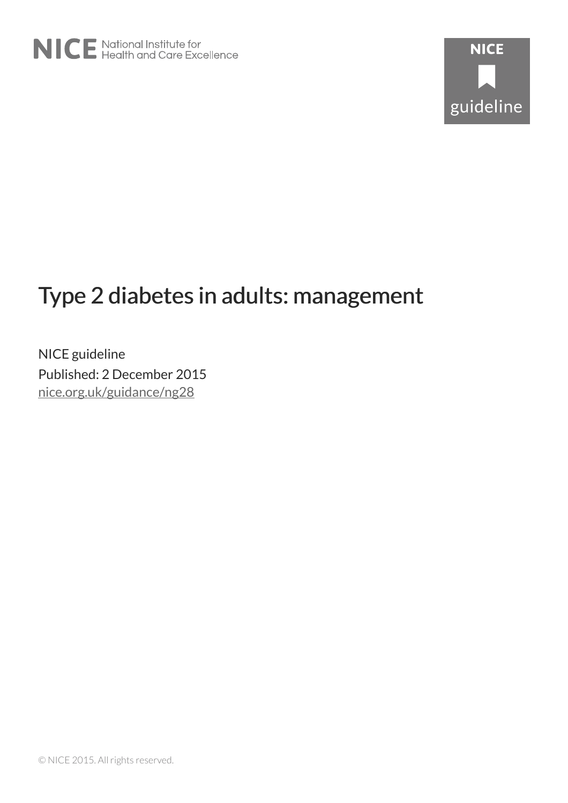# Type 2 diabetes in adults: management

NICE guideline Published: 2 December 2015 nice.org.uk/guidance/ng28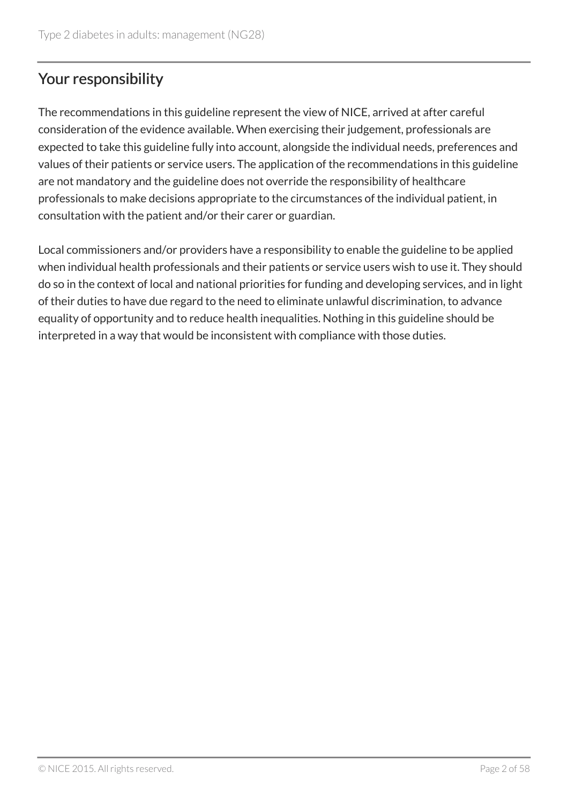# Your responsibility

The recommendations in this guideline represent the view of NICE, arrived at after careful consideration of the evidence available. When exercising their judgement, professionals are expected to take this guideline fully into account, alongside the individual needs, preferences and values of their patients or service users. The application of the recommendations in this guideline are not mandatory and the guideline does not override the responsibility of healthcare professionals to make decisions appropriate to the circumstances of the individual patient, in consultation with the patient and/or their carer or guardian.

Local commissioners and/or providers have a responsibility to enable the guideline to be applied when individual health professionals and their patients or service users wish to use it. They should do so in the context of local and national priorities for funding and developing services, and in light of their duties to have due regard to the need to eliminate unlawful discrimination, to advance equality of opportunity and to reduce health inequalities. Nothing in this guideline should be interpreted in a way that would be inconsistent with compliance with those duties.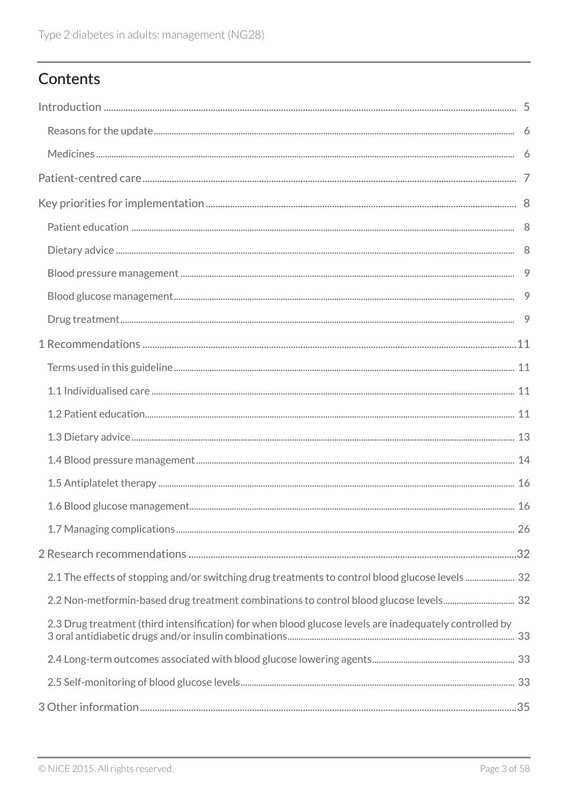# Contents

| 2.1 The effects of stopping and/or switching drug treatments to control blood glucose levels  32        |  |
|---------------------------------------------------------------------------------------------------------|--|
|                                                                                                         |  |
| 2.3 Drug treatment (third intensification) for when blood glucose levels are inadequately controlled by |  |
|                                                                                                         |  |
|                                                                                                         |  |
|                                                                                                         |  |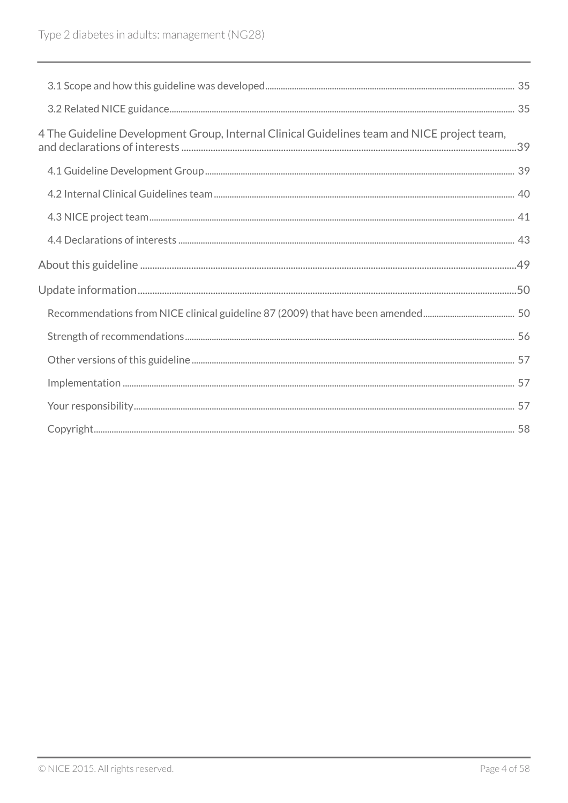| 4 The Guideline Development Group, Internal Clinical Guidelines team and NICE project team, |  |
|---------------------------------------------------------------------------------------------|--|
|                                                                                             |  |
|                                                                                             |  |
|                                                                                             |  |
|                                                                                             |  |
|                                                                                             |  |
|                                                                                             |  |
|                                                                                             |  |
|                                                                                             |  |
|                                                                                             |  |
|                                                                                             |  |
|                                                                                             |  |
|                                                                                             |  |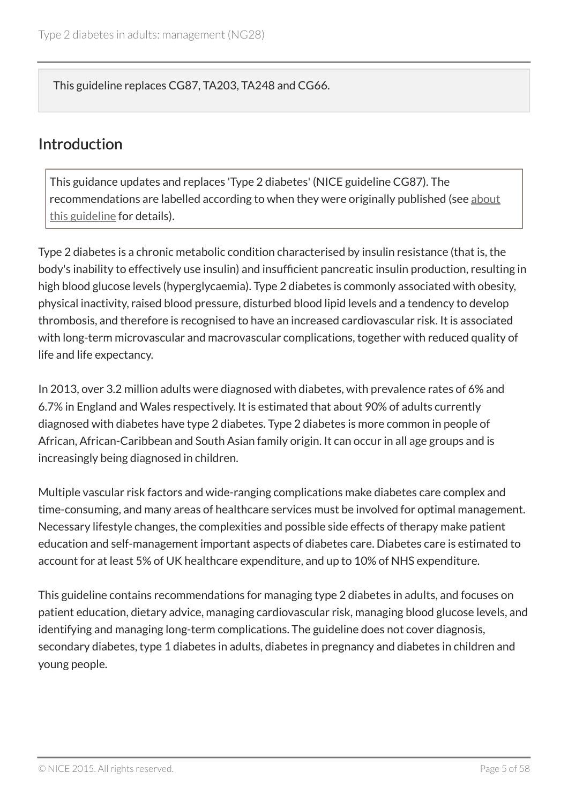This guideline replaces CG87, TA203, TA248 and CG66.

### Introduction

This guidance updates and replaces 'Type 2 diabetes' (NICE guideline CG87). The recommendations are labelled according to when they were originally published (see about this guideline for details).

Type 2 diabetes is a chronic metabolic condition characterised by insulin resistance (that is, the body's inability to effectively use insulin) and insufficient pancreatic insulin production, resulting in high blood glucose levels (hyperglycaemia). Type 2 diabetes is commonly associated with obesity, physical inactivity, raised blood pressure, disturbed blood lipid levels and a tendency to develop thrombosis, and therefore is recognised to have an increased cardiovascular risk. It is associated with long-term microvascular and macrovascular complications, together with reduced quality of life and life expectancy.

In 2013, over 3.2 million adults were diagnosed with diabetes, with prevalence rates of 6% and 6.7% in England and Wales respectively. It is estimated that about 90% of adults currently diagnosed with diabetes have type 2 diabetes. Type 2 diabetes is more common in people of African, African-Caribbean and South Asian family origin. It can occur in all age groups and is increasingly being diagnosed in children.

Multiple vascular risk factors and wide-ranging complications make diabetes care complex and time-consuming, and many areas of healthcare services must be involved for optimal management. Necessary lifestyle changes, the complexities and possible side effects of therapy make patient education and self-management important aspects of diabetes care. Diabetes care is estimated to account for at least 5% of UK healthcare expenditure, and up to 10% of NHS expenditure.

This guideline contains recommendations for managing type 2 diabetes in adults, and focuses on patient education, dietary advice, managing cardiovascular risk, managing blood glucose levels, and identifying and managing long-term complications. The guideline does not cover diagnosis, secondary diabetes, type 1 diabetes in adults, diabetes in pregnancy and diabetes in children and young people.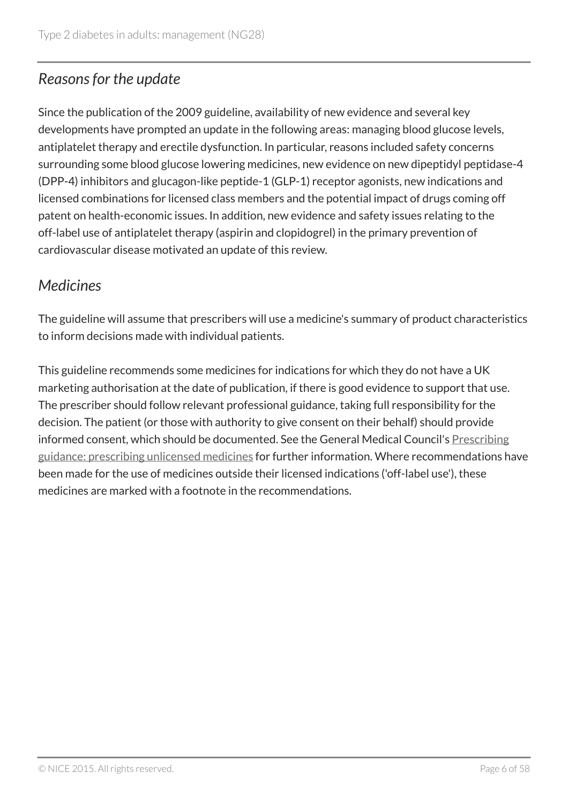# *Reasons for the update*

Since the publication of the 2009 guideline, availability of new evidence and several key developments have prompted an update in the following areas: managing blood glucose levels, antiplatelet therapy and erectile dysfunction. In particular, reasons included safety concerns surrounding some blood glucose lowering medicines, new evidence on new dipeptidyl peptidase-4 (DPP-4) inhibitors and glucagon-like peptide-1 (GLP-1) receptor agonists, new indications and licensed combinations for licensed class members and the potential impact of drugs coming off patent on health-economic issues. In addition, new evidence and safety issues relating to the off-label use of antiplatelet therapy (aspirin and clopidogrel) in the primary prevention of cardiovascular disease motivated an update of this review.

# *Medicines*

The guideline will assume that prescribers will use a medicine's summary of product characteristics to inform decisions made with individual patients.

This guideline recommends some medicines for indications for which they do not have a UK marketing authorisation at the date of publication, if there is good evidence to support that use. The prescriber should follow relevant professional guidance, taking full responsibility for the decision. The patient (or those with authority to give consent on their behalf) should provide informed consent, which should be documented. See the General Medical Council's Prescribing guidance: prescribing unlicensed medicines for further information. Where recommendations have been made for the use of medicines outside their licensed indications ('off-label use'), these medicines are marked with a footnote in the recommendations.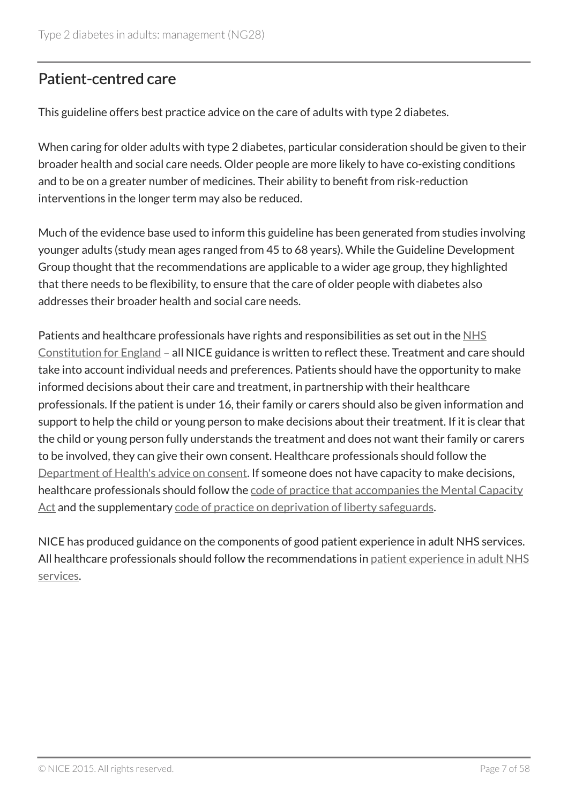# Patient-centred care

This guideline offers best practice advice on the care of adults with type 2 diabetes.

When caring for older adults with type 2 diabetes, particular consideration should be given to their broader health and social care needs. Older people are more likely to have co-existing conditions and to be on a greater number of medicines. Their ability to benefit from risk-reduction interventions in the longer term may also be reduced.

Much of the evidence base used to inform this guideline has been generated from studies involving younger adults (study mean ages ranged from 45 to 68 years). While the Guideline Development Group thought that the recommendations are applicable to a wider age group, they highlighted that there needs to be flexibility, to ensure that the care of older people with diabetes also addresses their broader health and social care needs.

Patients and healthcare professionals have rights and responsibilities as set out in the NHS Constitution for England – all NICE guidance is written to reflect these. Treatment and care should take into account individual needs and preferences. Patients should have the opportunity to make informed decisions about their care and treatment, in partnership with their healthcare professionals. If the patient is under 16, their family or carers should also be given information and support to help the child or young person to make decisions about their treatment. If it is clear that the child or young person fully understands the treatment and does not want their family or carers to be involved, they can give their own consent. Healthcare professionals should follow the Department of Health's advice on consent. If someone does not have capacity to make decisions, healthcare professionals should follow the code of practice that accompanies the Mental Capacity Act and the supplementary code of practice on deprivation of liberty safeguards.

NICE has produced guidance on the components of good patient experience in adult NHS services. All healthcare professionals should follow the recommendations in patient experience in adult NHS services.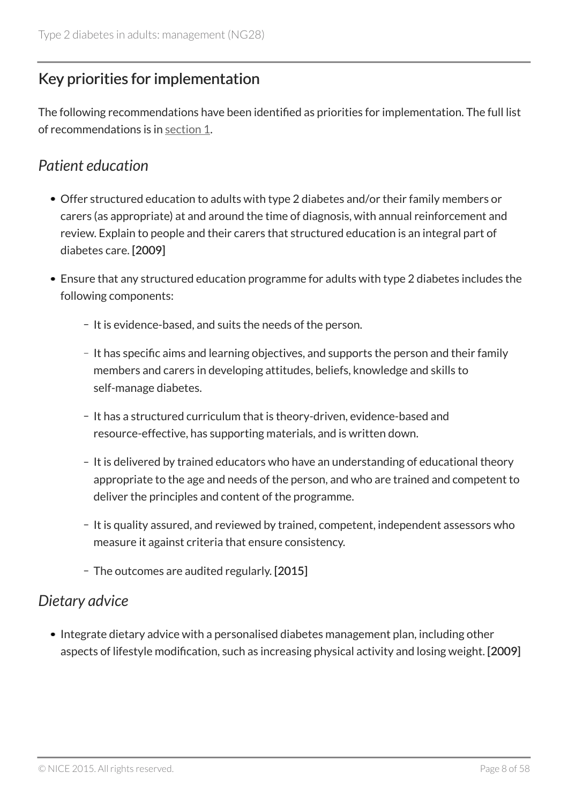# Key priorities for implementation

The following recommendations have been identified as priorities for implementation. The full list of recommendations is in section 1.

### *Patient education*

- Offer structured education to adults with type 2 diabetes and/or their family members or carers (as appropriate) at and around the time of diagnosis, with annual reinforcement and review. Explain to people and their carers that structured education is an integral part of diabetes care. [2009]
- Ensure that any structured education programme for adults with type 2 diabetes includes the following components:
	- It is evidence-based, and suits the needs of the person.
	- It has specific aims and learning objectives, and supports the person and their family members and carers in developing attitudes, beliefs, knowledge and skills to self-manage diabetes.
	- It has a structured curriculum that is theory-driven, evidence-based and resource-effective, has supporting materials, and is written down.
	- It is delivered by trained educators who have an understanding of educational theory appropriate to the age and needs of the person, and who are trained and competent to deliver the principles and content of the programme.
	- It is quality assured, and reviewed by trained, competent, independent assessors who measure it against criteria that ensure consistency.
	- The outcomes are audited regularly. [2015]

### *Dietary advice*

• Integrate dietary advice with a personalised diabetes management plan, including other aspects of lifestyle modification, such as increasing physical activity and losing weight. [2009]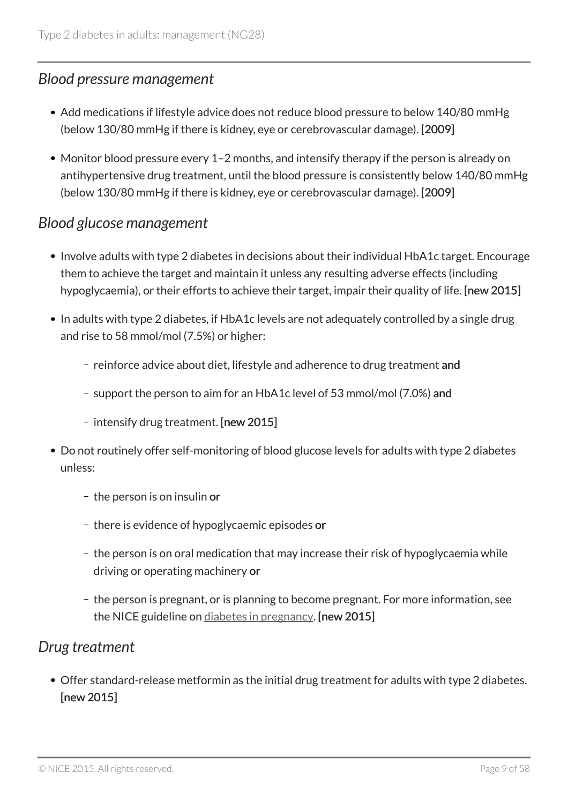### *Blood pressure management*

- Add medications if lifestyle advice does not reduce blood pressure to below 140/80 mmHg (below 130/80 mmHg if there is kidney, eye or cerebrovascular damage). [2009]
- Monitor blood pressure every 1–2 months, and intensify therapy if the person is already on antihypertensive drug treatment, until the blood pressure is consistently below 140/80 mmHg (below 130/80 mmHg if there is kidney, eye or cerebrovascular damage). [2009]

### *Blood glucose management*

- Involve adults with type 2 diabetes in decisions about their individual HbA1c target. Encourage them to achieve the target and maintain it unless any resulting adverse effects (including hypoglycaemia), or their efforts to achieve their target, impair their quality of life. [new 2015]
- In adults with type 2 diabetes, if HbA1c levels are not adequately controlled by a single drug and rise to 58 mmol/mol (7.5%) or higher:
	- reinforce advice about diet, lifestyle and adherence to drug treatment and
	- support the person to aim for an HbA1c level of 53 mmol/mol (7.0%) and
	- intensify drug treatment. [new 2015]
- Do not routinely offer self-monitoring of blood glucose levels for adults with type 2 diabetes unless:
	- $-$  the person is on insulin or
	- there is evidence of hypoglycaemic episodes or
	- the person is on oral medication that may increase their risk of hypoglycaemia while driving or operating machinery or
	- the person is pregnant, or is planning to become pregnant. For more information, see the NICE guideline on diabetes in pregnancy. [new 2015]

### *Drug treatment*

Offer standard-release metformin as the initial drug treatment for adults with type 2 diabetes. [new 2015]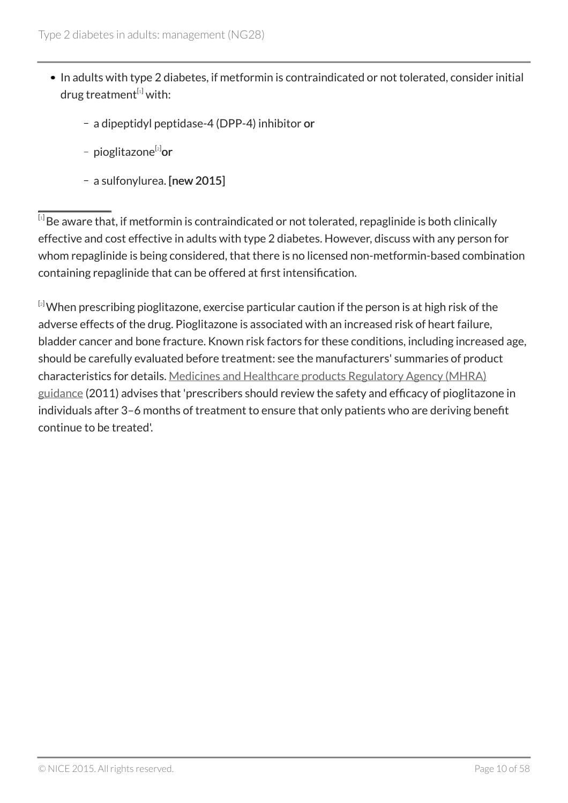- In adults with type 2 diabetes, if metformin is contraindicated or not tolerated, consider initial drug treatment $[1]$  with:
	- a dipeptidyl peptidase-4 (DPP-4) inhibitor or
	- pioglitazone<sup>[2]</sup>or
	- a sulfonylurea. [new 2015]

 $^{\left[ \cdot\right] }$ Be aware that, if metformin is contraindicated or not tolerated, repaglinide is both clinically effective and cost effective in adults with type 2 diabetes. However, discuss with any person for whom repaglinide is being considered, that there is no licensed non-metformin-based combination containing repaglinide that can be offered at first intensification.

 $[2]$ When prescribing pioglitazone, exercise particular caution if the person is at high risk of the adverse effects of the drug. Pioglitazone is associated with an increased risk of heart failure, bladder cancer and bone fracture. Known risk factors for these conditions, including increased age, should be carefully evaluated before treatment: see the manufacturers' summaries of product characteristics for details. Medicines and Healthcare products Regulatory Agency (MHRA) guidance (2011) advises that 'prescribers should review the safety and efficacy of pioglitazone in individuals after 3–6 months of treatment to ensure that only patients who are deriving benefit continue to be treated'.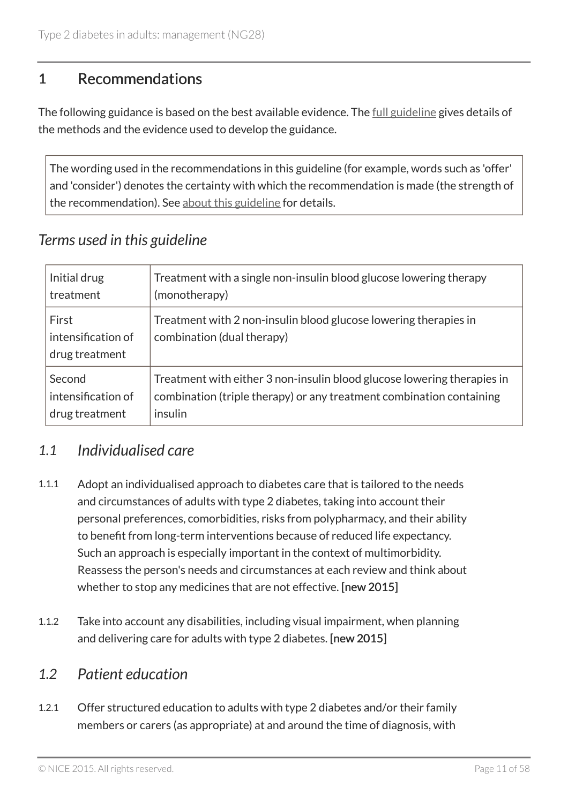## 1 Recommendations

The following guidance is based on the best available evidence. The <u>full guideline</u> gives details of the methods and the evidence used to develop the guidance.

The wording used in the recommendations in this guideline (for example, words such as 'offer' and 'consider') denotes the certainty with which the recommendation is made (the strength of the recommendation). See about this guideline for details.

# *Terms used in this guideline*

| Initial drug                                  | Treatment with a single non-insulin blood glucose lowering therapy                             |
|-----------------------------------------------|------------------------------------------------------------------------------------------------|
| treatment                                     | (monotherapy)                                                                                  |
| First<br>intensification of<br>drug treatment | Treatment with 2 non-insulin blood glucose lowering therapies in<br>combination (dual therapy) |
| Second                                        | Treatment with either 3 non-insulin blood glucose lowering therapies in                        |
| intensification of                            | combination (triple therapy) or any treatment combination containing                           |
| drug treatment                                | insulin                                                                                        |

### *1.1 Individualised care*

- 1.1.1 Adopt an individualised approach to diabetes care that is tailored to the needs and circumstances of adults with type 2 diabetes, taking into account their personal preferences, comorbidities, risks from polypharmacy, and their ability to benefit from long-term interventions because of reduced life expectancy. Such an approach is especially important in the context of multimorbidity. Reassess the person's needs and circumstances at each review and think about whether to stop any medicines that are not effective. [new 2015]
- 1.1.2 Take into account any disabilities, including visual impairment, when planning and delivering care for adults with type 2 diabetes. [new 2015]

### *1.2 Patient education*

1.2.1 Offer structured education to adults with type 2 diabetes and/or their family members or carers (as appropriate) at and around the time of diagnosis, with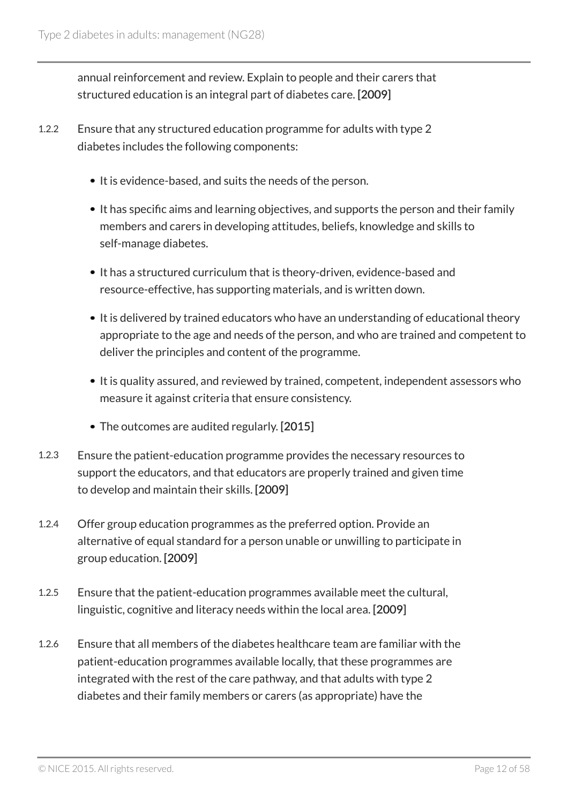annual reinforcement and review. Explain to people and their carers that structured education is an integral part of diabetes care. [2009]

- 1.2.2 Ensure that any structured education programme for adults with type 2 diabetes includes the following components:
	- It is evidence-based, and suits the needs of the person.
	- It has specific aims and learning objectives, and supports the person and their family members and carers in developing attitudes, beliefs, knowledge and skills to self-manage diabetes.
	- It has a structured curriculum that is theory-driven, evidence-based and resource-effective, has supporting materials, and is written down.
	- It is delivered by trained educators who have an understanding of educational theory appropriate to the age and needs of the person, and who are trained and competent to deliver the principles and content of the programme.
	- It is quality assured, and reviewed by trained, competent, independent assessors who measure it against criteria that ensure consistency.
	- The outcomes are audited regularly. [2015]
- 1.2.3 Ensure the patient-education programme provides the necessary resources to support the educators, and that educators are properly trained and given time to develop and maintain their skills. [2009]
- 1.2.4 Offer group education programmes as the preferred option. Provide an alternative of equal standard for a person unable or unwilling to participate in group education. [2009]
- 1.2.5 Ensure that the patient-education programmes available meet the cultural, linguistic, cognitive and literacy needs within the local area. [2009]
- 1.2.6 Ensure that all members of the diabetes healthcare team are familiar with the patient-education programmes available locally, that these programmes are integrated with the rest of the care pathway, and that adults with type 2 diabetes and their family members or carers (as appropriate) have the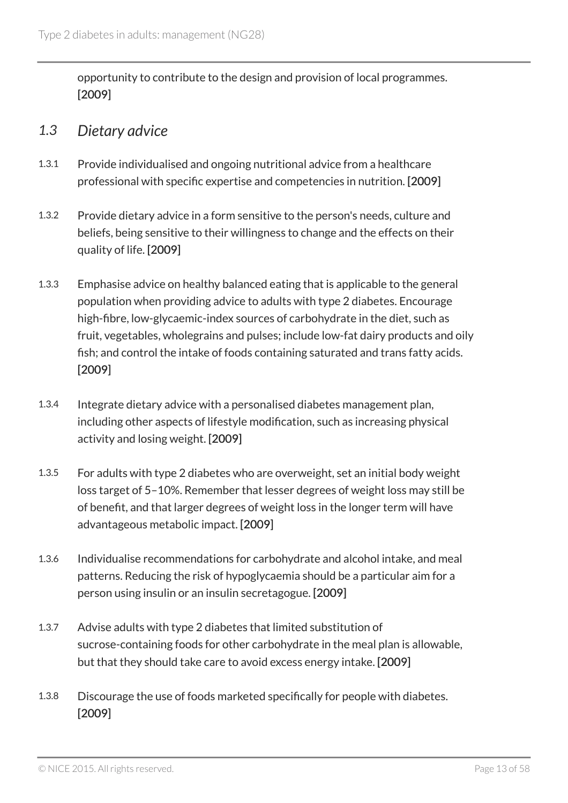opportunity to contribute to the design and provision of local programmes. [2009]

### *1.3 Dietary advice*

- 1.3.1 Provide individualised and ongoing nutritional advice from a healthcare professional with specific expertise and competencies in nutrition. [2009]
- 1.3.2 Provide dietary advice in a form sensitive to the person's needs, culture and beliefs, being sensitive to their willingness to change and the effects on their quality of life. [2009]
- 1.3.3 Emphasise advice on healthy balanced eating that is applicable to the general population when providing advice to adults with type 2 diabetes. Encourage high-fibre, low-glycaemic-index sources of carbohydrate in the diet, such as fruit, vegetables, wholegrains and pulses; include low-fat dairy products and oily fish; and control the intake of foods containing saturated and trans fatty acids. [2009]
- 1.3.4 Integrate dietary advice with a personalised diabetes management plan, including other aspects of lifestyle modification, such as increasing physical activity and losing weight. [2009]
- 1.3.5 For adults with type 2 diabetes who are overweight, set an initial body weight loss target of 5–10%. Remember that lesser degrees of weight loss may still be of benefit, and that larger degrees of weight loss in the longer term will have advantageous metabolic impact. [2009]
- 1.3.6 Individualise recommendations for carbohydrate and alcohol intake, and meal patterns. Reducing the risk of hypoglycaemia should be a particular aim for a person using insulin or an insulin secretagogue. [2009]
- 1.3.7 Advise adults with type 2 diabetes that limited substitution of sucrose-containing foods for other carbohydrate in the meal plan is allowable, but that they should take care to avoid excess energy intake. [2009]
- 1.3.8 Discourage the use of foods marketed specifically for people with diabetes. [2009]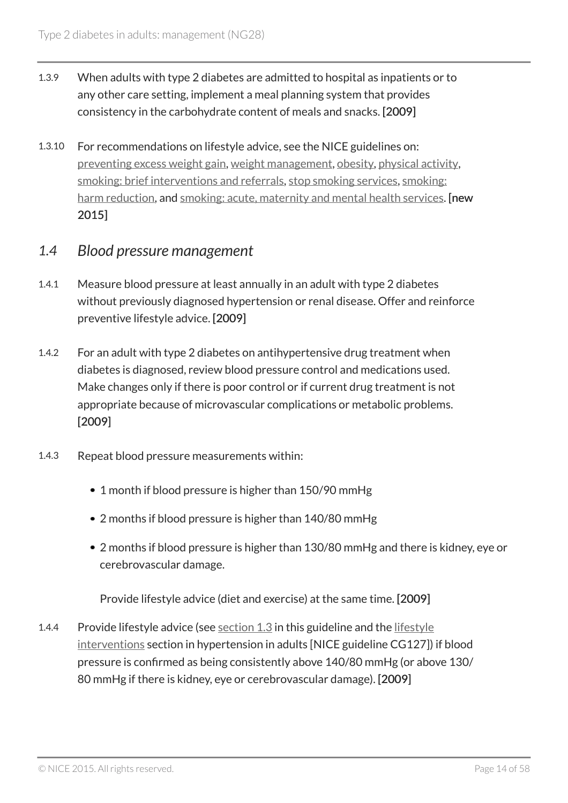- 1.3.9 When adults with type 2 diabetes are admitted to hospital as inpatients or to any other care setting, implement a meal planning system that provides consistency in the carbohydrate content of meals and snacks. [2009]
- 1.3.10 For recommendations on lifestyle advice, see the NICE guidelines on: preventing excess weight gain, weight management, obesity, physical activity, smoking: brief interventions and referrals, stop smoking services, smoking: harm reduction, and smoking: acute, maternity and mental health services. **[new** 2015]

### *1.4 Blood pressure management*

- 1.4.1 Measure blood pressure at least annually in an adult with type 2 diabetes without previously diagnosed hypertension or renal disease. Offer and reinforce preventive lifestyle advice. [2009]
- 1.4.2 For an adult with type 2 diabetes on antihypertensive drug treatment when diabetes is diagnosed, review blood pressure control and medications used. Make changes only if there is poor control or if current drug treatment is not appropriate because of microvascular complications or metabolic problems. [2009]
- 1.4.3 Repeat blood pressure measurements within:
	- 1 month if blood pressure is higher than 150/90 mmHg
	- 2 months if blood pressure is higher than 140/80 mmHg
	- 2 months if blood pressure is higher than 130/80 mmHg and there is kidney, eye or cerebrovascular damage.

Provide lifestyle advice (diet and exercise) at the same time. [2009]

1.4.4 Provide lifestyle advice (see section 1.3 in this guideline and the lifestyle interventions section in hypertension in adults [NICE guideline CG127]) if blood pressure is confirmed as being consistently above 140/80 mmHg (or above 130/ 80 mmHg if there is kidney, eye or cerebrovascular damage). [2009]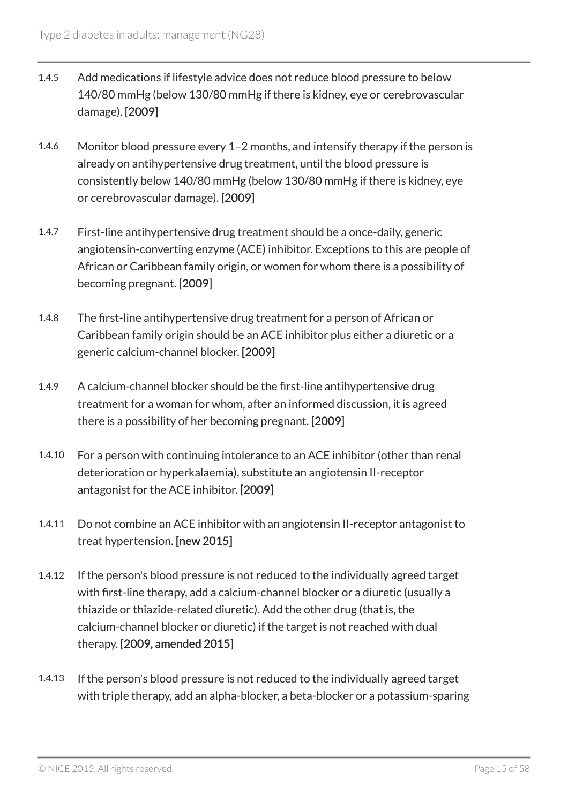- 1.4.5 Add medications if lifestyle advice does not reduce blood pressure to below 140/80 mmHg (below 130/80 mmHg if there is kidney, eye or cerebrovascular damage). [2009]
- 1.4.6 Monitor blood pressure every 1–2 months, and intensify therapy if the person is already on antihypertensive drug treatment, until the blood pressure is consistently below 140/80 mmHg (below 130/80 mmHg if there is kidney, eye or cerebrovascular damage). [2009]
- 1.4.7 First-line antihypertensive drug treatment should be a once-daily, generic angiotensin-converting enzyme (ACE) inhibitor. Exceptions to this are people of African or Caribbean family origin, or women for whom there is a possibility of becoming pregnant. [2009]
- 1.4.8 The first-line antihypertensive drug treatment for a person of African or Caribbean family origin should be an ACE inhibitor plus either a diuretic or a generic calcium-channel blocker. [2009]
- 1.4.9 A calcium-channel blocker should be the first-line antihypertensive drug treatment for a woman for whom, after an informed discussion, it is agreed there is a possibility of her becoming pregnant. [2009]
- 1.4.10 For a person with continuing intolerance to an ACE inhibitor (other than renal deterioration or hyperkalaemia), substitute an angiotensin II-receptor antagonist for the ACE inhibitor. [2009]
- 1.4.11 Do not combine an ACE inhibitor with an angiotensin II-receptor antagonist to treat hypertension. [new 2015]
- 1.4.12 If the person's blood pressure is not reduced to the individually agreed target with first-line therapy, add a calcium-channel blocker or a diuretic (usually a thiazide or thiazide-related diuretic). Add the other drug (that is, the calcium-channel blocker or diuretic) if the target is not reached with dual therapy. [2009, amended 2015]
- 1.4.13 If the person's blood pressure is not reduced to the individually agreed target with triple therapy, add an alpha-blocker, a beta-blocker or a potassium-sparing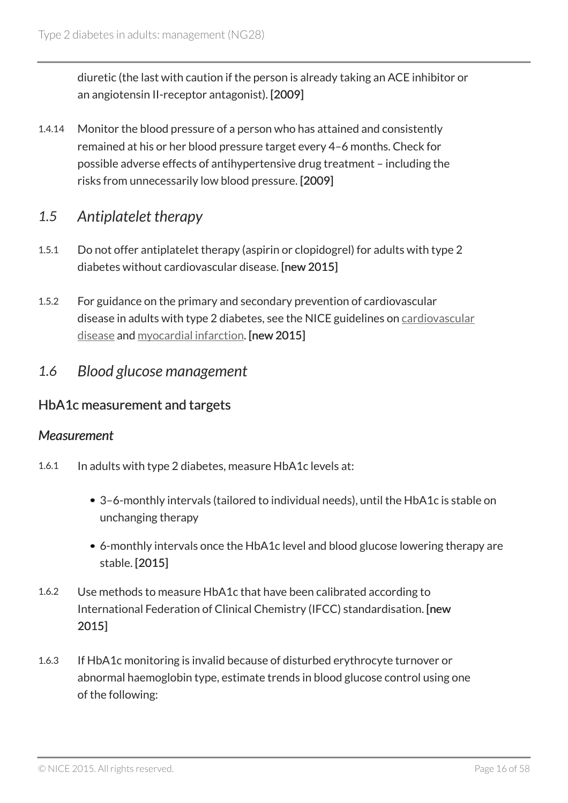diuretic (the last with caution if the person is already taking an ACE inhibitor or an angiotensin II-receptor antagonist). [2009]

1.4.14 Monitor the blood pressure of a person who has attained and consistently remained at his or her blood pressure target every 4–6 months. Check for possible adverse effects of antihypertensive drug treatment – including the risks from unnecessarily low blood pressure. [2009]

### *1.5 Antiplatelet therapy*

- 1.5.1 Do not offer antiplatelet therapy (aspirin or clopidogrel) for adults with type 2 diabetes without cardiovascular disease. [new 2015]
- 1.5.2 For guidance on the primary and secondary prevention of cardiovascular disease in adults with type 2 diabetes, see the NICE guidelines on cardiovascular disease and myocardial infarction. [new 2015]
- *1.6 Blood glucose management*

### HbA1c measurement and targets

#### *Measurement*

- 1.6.1 In adults with type 2 diabetes, measure HbA1c levels at:
	- 3–6-monthly intervals (tailored to individual needs), until the HbA1c is stable on unchanging therapy
	- 6-monthly intervals once the HbA1c level and blood glucose lowering therapy are stable. [2015]
- 1.6.2 Use methods to measure HbA1c that have been calibrated according to International Federation of Clinical Chemistry (IFCC) standardisation. [new 2015]
- 1.6.3 If HbA1c monitoring is invalid because of disturbed erythrocyte turnover or abnormal haemoglobin type, estimate trends in blood glucose control using one of the following: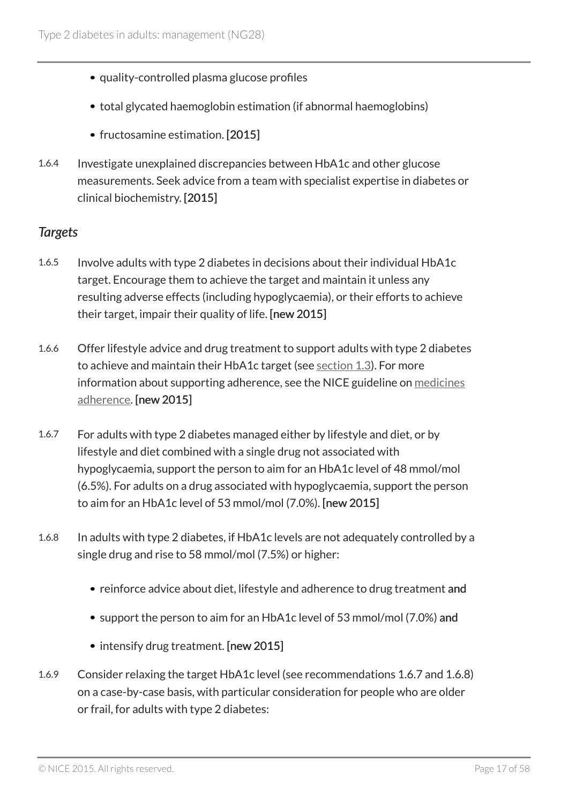- quality-controlled plasma glucose profiles
- total glycated haemoglobin estimation (if abnormal haemoglobins)
- fructosamine estimation. [2015]
- 1.6.4 Investigate unexplained discrepancies between HbA1c and other glucose measurements. Seek advice from a team with specialist expertise in diabetes or clinical biochemistry. [2015]

#### *Targets*

- 1.6.5 Involve adults with type 2 diabetes in decisions about their individual HbA1c target. Encourage them to achieve the target and maintain it unless any resulting adverse effects (including hypoglycaemia), or their efforts to achieve their target, impair their quality of life. [new 2015]
- 1.6.6 Offer lifestyle advice and drug treatment to support adults with type 2 diabetes to achieve and maintain their HbA1c target (see section 1.3). For more information about supporting adherence, see the NICE guideline on medicines adherence. [new 2015]
- 1.6.7 For adults with type 2 diabetes managed either by lifestyle and diet, or by lifestyle and diet combined with a single drug not associated with hypoglycaemia, support the person to aim for an HbA1c level of 48 mmol/mol (6.5%). For adults on a drug associated with hypoglycaemia, support the person to aim for an HbA1c level of 53 mmol/mol (7.0%). [new 2015]
- 1.6.8 In adults with type 2 diabetes, if HbA1c levels are not adequately controlled by a single drug and rise to 58 mmol/mol (7.5%) or higher:
	- reinforce advice about diet, lifestyle and adherence to drug treatment and
	- support the person to aim for an HbA1c level of 53 mmol/mol (7.0%) and
	- intensify drug treatment. [new 2015]
- 1.6.9 Consider relaxing the target HbA1c level (see recommendations 1.6.7 and 1.6.8) on a case-by-case basis, with particular consideration for people who are older or frail, for adults with type 2 diabetes: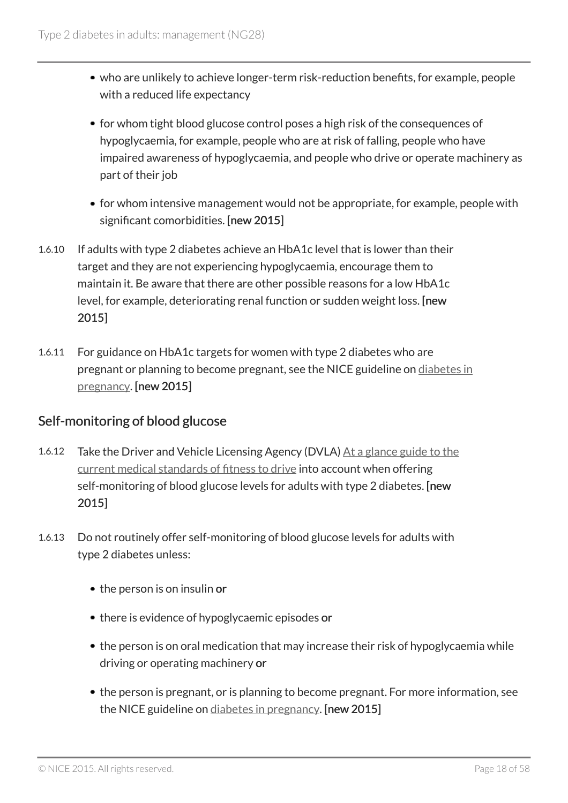- who are unlikely to achieve longer-term risk-reduction benefits, for example, people with a reduced life expectancy
- for whom tight blood glucose control poses a high risk of the consequences of hypoglycaemia, for example, people who are at risk of falling, people who have impaired awareness of hypoglycaemia, and people who drive or operate machinery as part of their job
- for whom intensive management would not be appropriate, for example, people with significant comorbidities. [new 2015]
- 1.6.10 If adults with type 2 diabetes achieve an HbA1c level that is lower than their target and they are not experiencing hypoglycaemia, encourage them to maintain it. Be aware that there are other possible reasons for a low HbA1c level, for example, deteriorating renal function or sudden weight loss. [new 2015]
- 1.6.11 For guidance on HbA1c targets for women with type 2 diabetes who are pregnant or planning to become pregnant, see the NICE guideline on diabetes in pregnancy. [new 2015]

### Self-monitoring of blood glucose

- 1.6.12 Take the Driver and Vehicle Licensing Agency (DVLA) At a glance guide to the current medical standards of fitness to drive into account when offering self-monitoring of blood glucose levels for adults with type 2 diabetes. [new 2015]
- 1.6.13 Do not routinely offer self-monitoring of blood glucose levels for adults with type 2 diabetes unless:
	- the person is on insulin or
	- there is evidence of hypoglycaemic episodes or
	- the person is on oral medication that may increase their risk of hypoglycaemia while driving or operating machinery or
	- the person is pregnant, or is planning to become pregnant. For more information, see the NICE guideline on diabetes in pregnancy. [new 2015]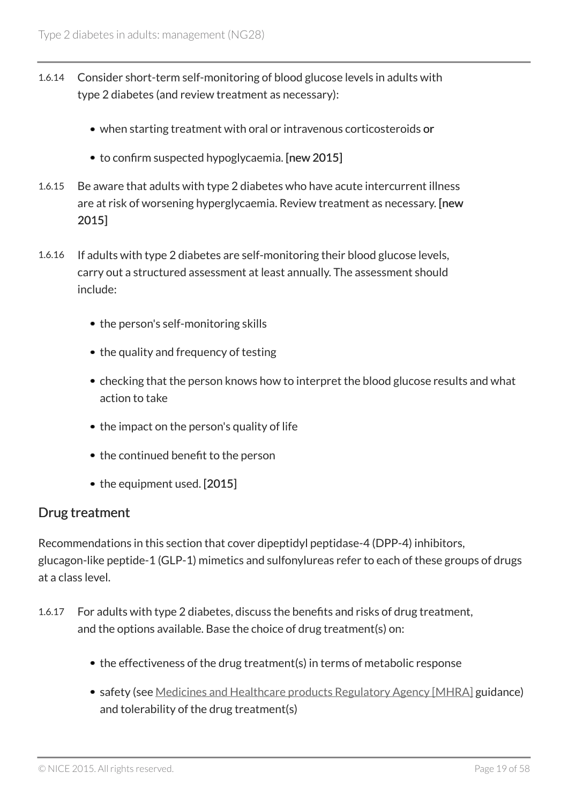- 1.6.14 Consider short-term self-monitoring of blood glucose levels in adults with type 2 diabetes (and review treatment as necessary):
	- when starting treatment with oral or intravenous corticosteroids or
	- to confirm suspected hypoglycaemia. [new 2015]
- 1.6.15 Be aware that adults with type 2 diabetes who have acute intercurrent illness are at risk of worsening hyperglycaemia. Review treatment as necessary. [new 2015]
- 1.6.16 If adults with type 2 diabetes are self-monitoring their blood glucose levels, carry out a structured assessment at least annually. The assessment should include:
	- the person's self-monitoring skills
	- the quality and frequency of testing
	- checking that the person knows how to interpret the blood glucose results and what action to take
	- the impact on the person's quality of life
	- the continued benefit to the person
	- the equipment used. [2015]

#### Drug treatment

Recommendations in this section that cover dipeptidyl peptidase-4 (DPP-4) inhibitors, glucagon-like peptide-1 (GLP-1) mimetics and sulfonylureas refer to each of these groups of drugs at a class level.

- 1.6.17 For adults with type 2 diabetes, discuss the benefits and risks of drug treatment, and the options available. Base the choice of drug treatment(s) on:
	- the effectiveness of the drug treatment(s) in terms of metabolic response
	- safety (see Medicines and Healthcare products Regulatory Agency [MHRA] guidance) and tolerability of the drug treatment(s)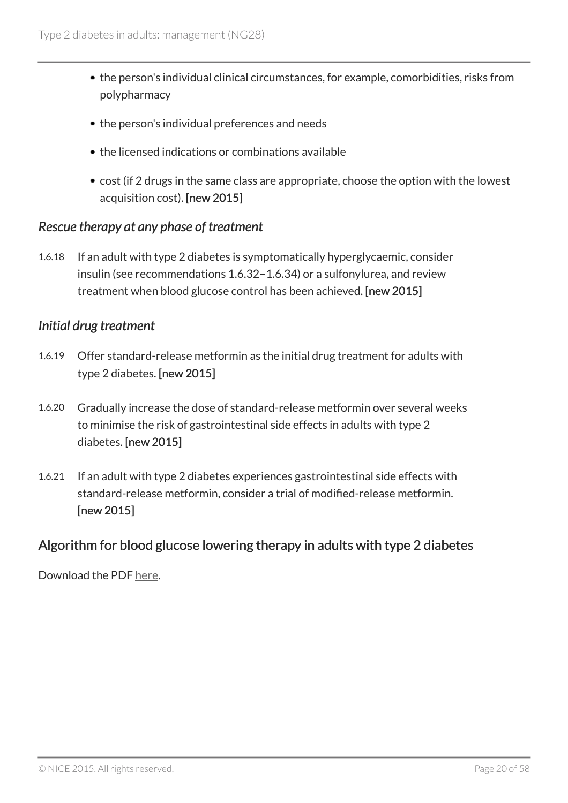- the person's individual clinical circumstances, for example, comorbidities, risks from polypharmacy
- the person's individual preferences and needs
- the licensed indications or combinations available
- cost (if 2 drugs in the same class are appropriate, choose the option with the lowest acquisition cost). [new 2015]

#### *Rescue therapy at any phase of treatment*

1.6.18 If an adult with type 2 diabetes is symptomatically hyperglycaemic, consider insulin (see recommendations 1.6.32–1.6.34) or a sulfonylurea, and review treatment when blood glucose control has been achieved. [new 2015]

#### *Initial drug treatment*

- 1.6.19 Offer standard-release metformin as the initial drug treatment for adults with type 2 diabetes. [new 2015]
- 1.6.20 Gradually increase the dose of standard-release metformin over several weeks to minimise the risk of gastrointestinal side effects in adults with type 2 diabetes. [new 2015]
- 1.6.21 If an adult with type 2 diabetes experiences gastrointestinal side effects with standard-release metformin, consider a trial of modified-release metformin. [new 2015]

### Algorithm for blood glucose lowering therapy in adults with type 2 diabetes

Download the PDF here.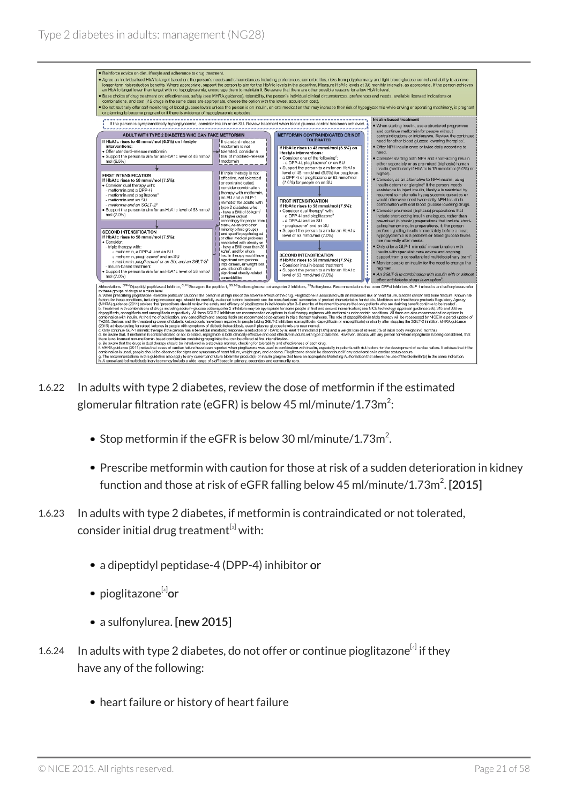

- 1.6.22 In adults with type 2 diabetes, review the dose of metformin if the estimated glomerular filtration rate (eGFR) is below 45 ml/minute/1.73m $^2\!:\,$ 
	- Stop metformin if the eGFR is below 30 ml/minute/1.73m<sup>2</sup>.
	- Prescribe metformin with caution for those at risk of a sudden deterioration in kidney function and those at risk of eGFR falling below 45 ml/minute/1.73m $^2$ . [2015]
- 1.6.23 In adults with type 2 diabetes, if metformin is contraindicated or not tolerated, consider initial drug treatment $^{[s]}$  with:
	- a dipeptidyl peptidase-4 (DPP-4) inhibitor or
	- pioglitazone<sup>[4]</sup>or
	- a sulfonylurea. [new 2015]
- 1.6.24 In adults with type 2 diabetes, do not offer or continue pioglitazone $^{[4]}$  if they have any of the following:
	- heart failure or history of heart failure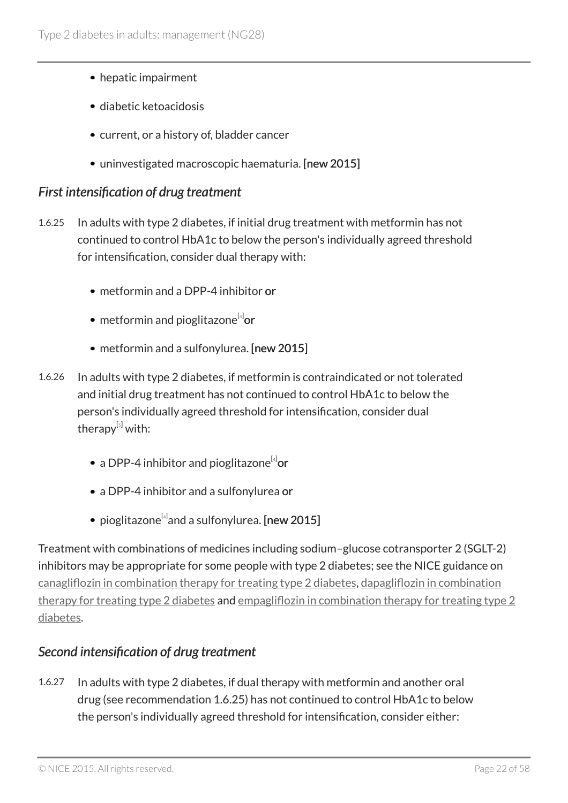- hepatic impairment
- diabetic ketoacidosis
- current, or a history of, bladder cancer
- uninvestigated macroscopic haematuria. [new 2015]

#### *First intensification of drug treatment*

- 1.6.25 In adults with type 2 diabetes, if initial drug treatment with metformin has not continued to control HbA1c to below the person's individually agreed threshold for intensification, consider dual therapy with:
	- metformin and a DPP-4 inhibitor or
	- metformin and pioglitazone<sup>[4]</sup>or
	- metformin and a sulfonylurea. [new 2015]
- 1.6.26 In adults with type 2 diabetes, if metformin is contraindicated or not tolerated and initial drug treatment has not continued to control HbA1c to below the person's individually agreed threshold for intensification, consider dual therapy<sup>[5]</sup> with:
	- a DPP-4 inhibitor and pioglitazone $^{\left[ 4 \right]}$ or
	- a DPP-4 inhibitor and a sulfonylurea or
	- pioglitazone $^{\left[ 4\right] }$ and a sulfonylurea. [new 2015]

Treatment with combinations of medicines including sodium–glucose cotransporter 2 (SGLT-2) inhibitors may be appropriate for some people with type 2 diabetes; see the NICE guidance on canagliflozin in combination therapy for treating type 2 diabetes, dapagliflozin in combination therapy for treating type 2 diabetes and empagliflozin in combination therapy for treating type 2 diabetes.

### *Second intensification of drug treatment*

1.6.27 In adults with type 2 diabetes, if dual therapy with metformin and another oral drug (see recommendation 1.6.25) has not continued to control HbA1c to below the person's individually agreed threshold for intensification, consider either: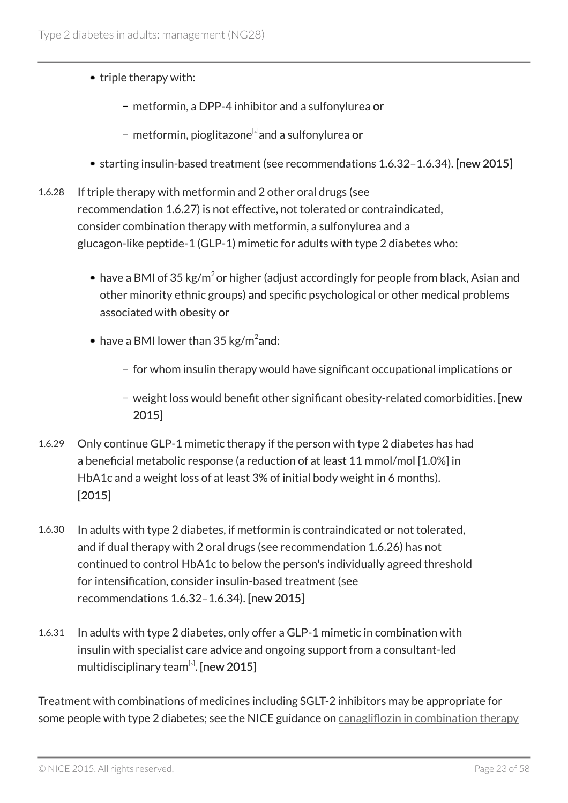- triple therapy with:
	- metformin, a DPP-4 inhibitor and a sulfonylurea or
	- metformin, pioglitazone<sup>[4]</sup>and a sulfonylurea **or**
- starting insulin-based treatment (see recommendations 1.6.32–1.6.34). [new 2015]
- 1.6.28 If triple therapy with metformin and 2 other oral drugs (see recommendation 1.6.27) is not effective, not tolerated or contraindicated, consider combination therapy with metformin, a sulfonylurea and a glucagon-like peptide-1 (GLP-1) mimetic for adults with type 2 diabetes who:
	- have a BMI of 35 kg/m $^2$ or higher (adjust accordingly for people from black, Asian and other minority ethnic groups) and specific psychological or other medical problems associated with obesity or
	- have a BMI lower than 35 kg/m $^2$ and:
		- for whom insulin therapy would have significant occupational implications or
		- weight loss would benefit other significant obesity-related comorbidities. [new 2015]
- 1.6.29 Only continue GLP-1 mimetic therapy if the person with type 2 diabetes has had a beneficial metabolic response (a reduction of at least 11 mmol/mol [1.0%] in HbA1c and a weight loss of at least 3% of initial body weight in 6 months). [2015]
- 1.6.30 In adults with type 2 diabetes, if metformin is contraindicated or not tolerated, and if dual therapy with 2 oral drugs (see recommendation 1.6.26) has not continued to control HbA1c to below the person's individually agreed threshold for intensification, consider insulin-based treatment (see recommendations 1.6.32–1.6.34). [new 2015]
- 1.6.31 In adults with type 2 diabetes, only offer a GLP-1 mimetic in combination with insulin with specialist care advice and ongoing support from a consultant-led multidisciplinary team $^{\left[ s\right] }$ . [new 2015]

Treatment with combinations of medicines including SGLT-2 inhibitors may be appropriate for some people with type 2 diabetes; see the NICE guidance on canagliflozin in combination therapy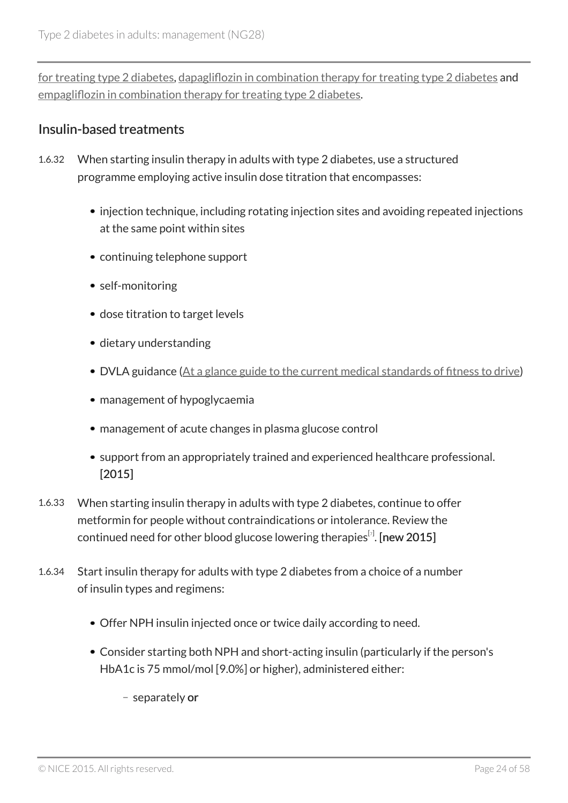for treating type 2 diabetes, dapagliflozin in combination therapy for treating type 2 diabetes and empagliflozin in combination therapy for treating type 2 diabetes.

### Insulin-based treatments

- 1.6.32 When starting insulin therapy in adults with type 2 diabetes, use a structured programme employing active insulin dose titration that encompasses:
	- injection technique, including rotating injection sites and avoiding repeated injections at the same point within sites
	- continuing telephone support
	- self-monitoring
	- dose titration to target levels
	- dietary understanding
	- DVLA guidance (At a glance guide to the current medical standards of fitness to drive)
	- management of hypoglycaemia
	- management of acute changes in plasma glucose control
	- support from an appropriately trained and experienced healthcare professional. [2015]
- 1.6.33 When starting insulin therapy in adults with type 2 diabetes, continue to offer metformin for people without contraindications or intolerance. Review the continued need for other blood glucose lowering therapies $^{\lbrack\!\lbrack}$ . [new 2015]
- 1.6.34 Start insulin therapy for adults with type 2 diabetes from a choice of a number of insulin types and regimens:
	- Offer NPH insulin injected once or twice daily according to need.
	- Consider starting both NPH and short-acting insulin (particularly if the person's HbA1c is 75 mmol/mol [9.0%] or higher), administered either:
		- separately or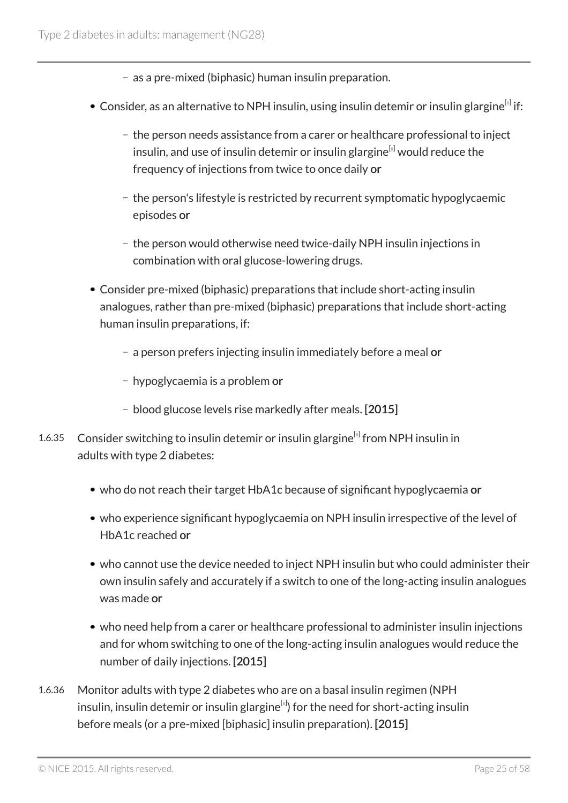- as a pre-mixed (biphasic) human insulin preparation.
- Consider, as an alternative to NPH insulin, using insulin detemir or insulin glargine $^{\text{\tiny{[s]}}}$  if:
	- the person needs assistance from a carer or healthcare professional to inject insulin, and use of insulin detemir or insulin glargine $[8]$  would reduce the frequency of injections from twice to once daily or
	- the person's lifestyle is restricted by recurrent symptomatic hypoglycaemic episodes or
	- the person would otherwise need twice-daily NPH insulin injections in combination with oral glucose-lowering drugs.
- Consider pre-mixed (biphasic) preparations that include short-acting insulin analogues, rather than pre-mixed (biphasic) preparations that include short-acting human insulin preparations, if:
	- a person prefers injecting insulin immediately before a meal or
	- hypoglycaemia is a problem or
	- blood glucose levels rise markedly after meals. [2015]
- 1.6.35 Consider switching to insulin detemir or insulin glargine<sup>[8]</sup> from NPH insulin in adults with type 2 diabetes:
	- who do not reach their target HbA1c because of significant hypoglycaemia or
	- who experience significant hypoglycaemia on NPH insulin irrespective of the level of HbA1c reached or
	- who cannot use the device needed to inject NPH insulin but who could administer their own insulin safely and accurately if a switch to one of the long-acting insulin analogues was made or
	- who need help from a carer or healthcare professional to administer insulin injections and for whom switching to one of the long-acting insulin analogues would reduce the number of daily injections. [2015]
- 1.6.36 Monitor adults with type 2 diabetes who are on a basal insulin regimen (NPH insulin, insulin detemir or insulin glargine $^{\text{\tiny{[s]}}}$ ) for the need for short-acting insulin before meals (or a pre-mixed [biphasic] insulin preparation). [2015]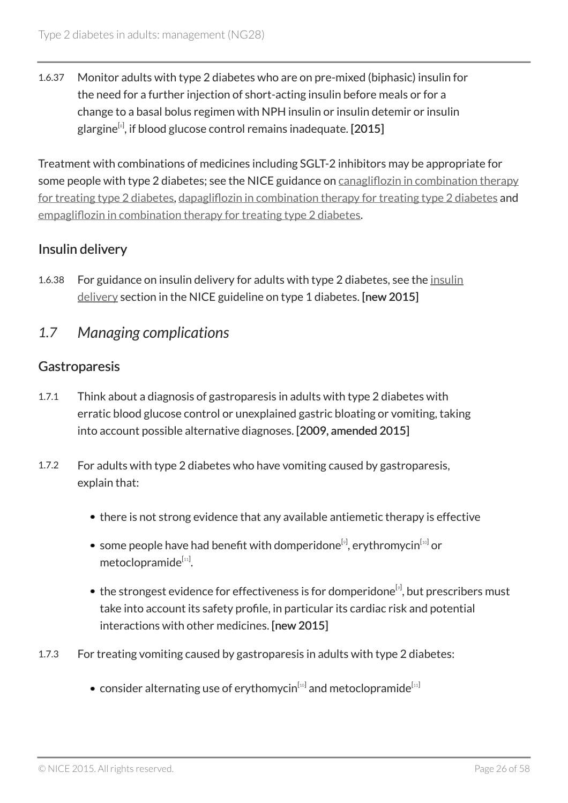1.6.37 Monitor adults with type 2 diabetes who are on pre-mixed (biphasic) insulin for the need for a further injection of short-acting insulin before meals or for a change to a basal bolus regimen with NPH insulin or insulin detemir or insulin glargine $^{\text{\tiny{[s]}}}$ , if blood glucose control remains inadequate. [ $2015$ ]

Treatment with combinations of medicines including SGLT-2 inhibitors may be appropriate for some people with type 2 diabetes; see the NICE guidance on canagliflozin in combination therapy for treating type 2 diabetes, dapagliflozin in combination therapy for treating type 2 diabetes and empagliflozin in combination therapy for treating type 2 diabetes.

### Insulin delivery

- 1.6.38 For guidance on insulin delivery for adults with type 2 diabetes, see the insulin delivery section in the NICE guideline on type 1 diabetes. [new 2015]
- *1.7 Managing complications*

### **Gastroparesis**

- 1.7.1 Think about a diagnosis of gastroparesis in adults with type 2 diabetes with erratic blood glucose control or unexplained gastric bloating or vomiting, taking into account possible alternative diagnoses. [2009, amended 2015]
- 1.7.2 For adults with type 2 diabetes who have vomiting caused by gastroparesis, explain that:
	- there is not strong evidence that any available antiemetic therapy is effective
	- some people have had benefit with domperidone<sup>[9]</sup>, erythromycin<sup>[10]</sup> or metoclopramide<sup>[11]</sup>.
	- the strongest evidence for effectiveness is for domperidone $^{\lbrack 9]}$ , but prescribers must take into account its safety profile, in particular its cardiac risk and potential interactions with other medicines. [new 2015]
- 1.7.3 For treating vomiting caused by gastroparesis in adults with type 2 diabetes:
	- consider alternating use of erythomycin $^{\left[ \mathrm{_{10}}\right]}$  and metoclopramide $^{\left[ \mathrm{_{11}}\right]}$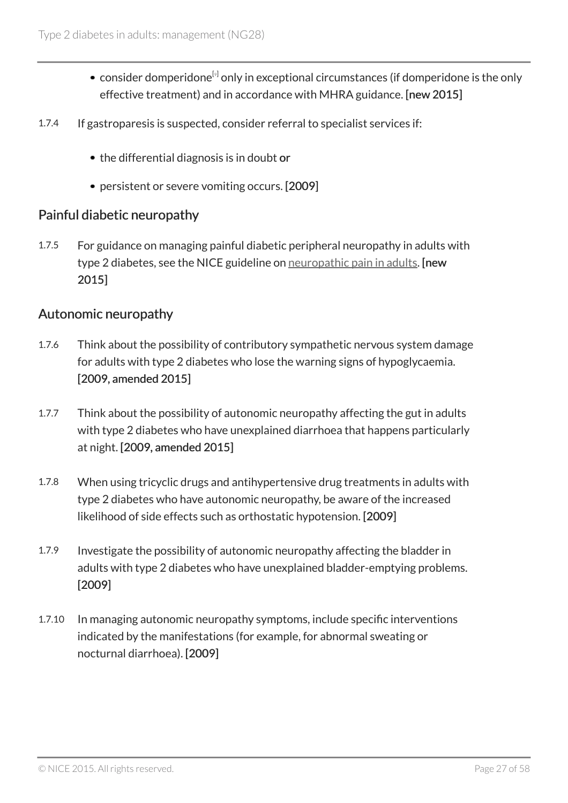- consider domperidone<sup>[9]</sup> only in exceptional circumstances (if domperidone is the only effective treatment) and in accordance with MHRA guidance. [new 2015]
- 1.7.4 If gastroparesis is suspected, consider referral to specialist services if:
	- the differential diagnosis is in doubt or
	- persistent or severe vomiting occurs. [2009]

#### Painful diabetic neuropathy

1.7.5 For guidance on managing painful diabetic peripheral neuropathy in adults with type 2 diabetes, see the NICE guideline on neuropathic pain in adults. [new 2015]

#### Autonomic neuropathy

- 1.7.6 Think about the possibility of contributory sympathetic nervous system damage for adults with type 2 diabetes who lose the warning signs of hypoglycaemia. [2009, amended 2015]
- 1.7.7 Think about the possibility of autonomic neuropathy affecting the gut in adults with type 2 diabetes who have unexplained diarrhoea that happens particularly at night. [2009, amended 2015]
- 1.7.8 When using tricyclic drugs and antihypertensive drug treatments in adults with type 2 diabetes who have autonomic neuropathy, be aware of the increased likelihood of side effects such as orthostatic hypotension. [2009]
- 1.7.9 Investigate the possibility of autonomic neuropathy affecting the bladder in adults with type 2 diabetes who have unexplained bladder-emptying problems. [2009]
- 1.7.10 In managing autonomic neuropathy symptoms, include specific interventions indicated by the manifestations (for example, for abnormal sweating or nocturnal diarrhoea). [2009]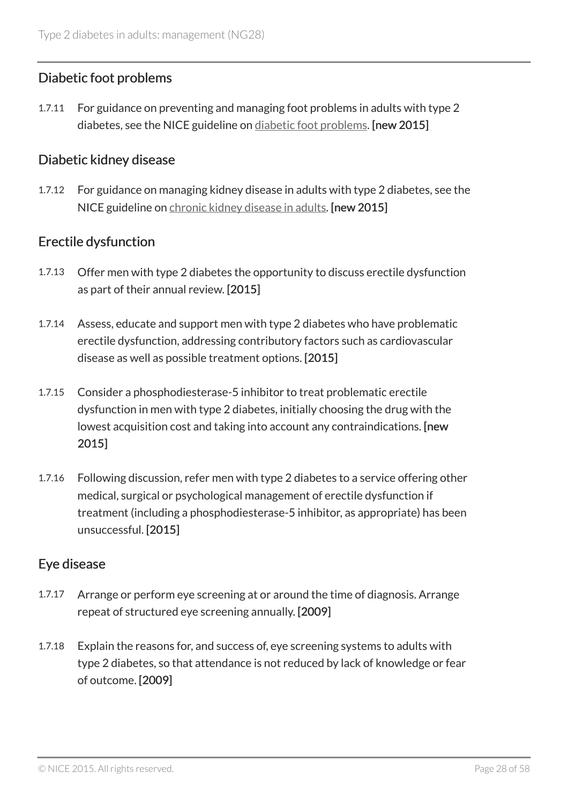### Diabetic foot problems

1.7.11 For guidance on preventing and managing foot problems in adults with type 2 diabetes, see the NICE guideline on diabetic foot problems. [new 2015]

#### Diabetic kidney disease

1.7.12 For guidance on managing kidney disease in adults with type 2 diabetes, see the NICE guideline on chronic kidney disease in adults. [new 2015]

### Erectile dysfunction

- 1.7.13 Offer men with type 2 diabetes the opportunity to discuss erectile dysfunction as part of their annual review. [2015]
- 1.7.14 Assess, educate and support men with type 2 diabetes who have problematic erectile dysfunction, addressing contributory factors such as cardiovascular disease as well as possible treatment options. [2015]
- 1.7.15 Consider a phosphodiesterase-5 inhibitor to treat problematic erectile dysfunction in men with type 2 diabetes, initially choosing the drug with the lowest acquisition cost and taking into account any contraindications. [new 2015]
- 1.7.16 Following discussion, refer men with type 2 diabetes to a service offering other medical, surgical or psychological management of erectile dysfunction if treatment (including a phosphodiesterase-5 inhibitor, as appropriate) has been unsuccessful. [2015]

### Eye disease

- 1.7.17 Arrange or perform eye screening at or around the time of diagnosis. Arrange repeat of structured eye screening annually. [2009]
- 1.7.18 Explain the reasons for, and success of, eye screening systems to adults with type 2 diabetes, so that attendance is not reduced by lack of knowledge or fear of outcome. [2009]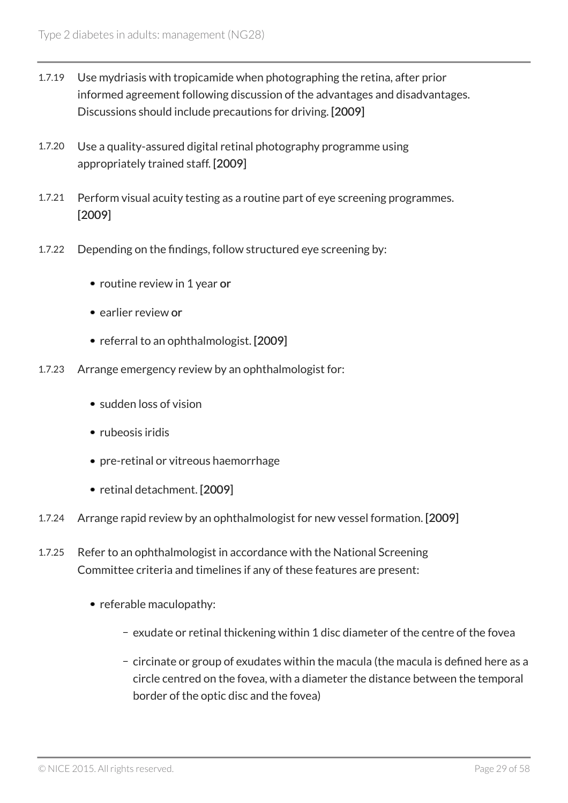- 1.7.19 Use mydriasis with tropicamide when photographing the retina, after prior informed agreement following discussion of the advantages and disadvantages. Discussions should include precautions for driving. [2009]
- 1.7.20 Use a quality-assured digital retinal photography programme using appropriately trained staff. [2009]
- 1.7.21 Perform visual acuity testing as a routine part of eye screening programmes. [2009]
- 1.7.22 Depending on the findings, follow structured eye screening by:
	- routine review in 1 year or
	- earlier review or
	- referral to an ophthalmologist. [2009]
- 1.7.23 Arrange emergency review by an ophthalmologist for:
	- sudden loss of vision
	- rubeosis iridis
	- pre-retinal or vitreous haemorrhage
	- retinal detachment. [2009]
- 1.7.24 Arrange rapid review by an ophthalmologist for new vessel formation. [2009]
- 1.7.25 Refer to an ophthalmologist in accordance with the National Screening Committee criteria and timelines if any of these features are present:
	- referable maculopathy:
		- exudate or retinal thickening within 1 disc diameter of the centre of the fovea
		- circinate or group of exudates within the macula (the macula is defined here as a circle centred on the fovea, with a diameter the distance between the temporal border of the optic disc and the fovea)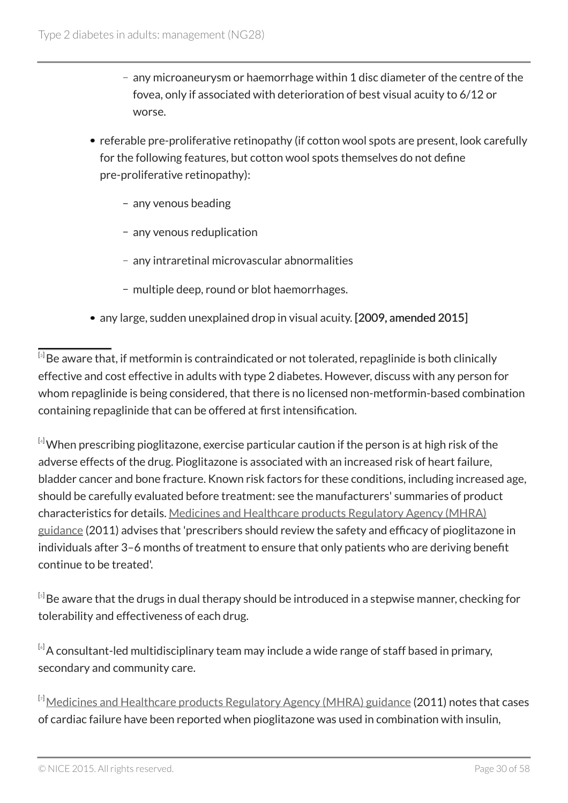- any microaneurysm or haemorrhage within 1 disc diameter of the centre of the fovea, only if associated with deterioration of best visual acuity to 6/12 or worse.
- referable pre-proliferative retinopathy (if cotton wool spots are present, look carefully for the following features, but cotton wool spots themselves do not define pre-proliferative retinopathy):
	- any venous beading
	- any venous reduplication
	- any intraretinal microvascular abnormalities
	- multiple deep, round or blot haemorrhages.
- any large, sudden unexplained drop in visual acuity. [2009, amended 2015]

 $^{\text{\tiny{[3]}}}$ Be aware that, if metformin is contraindicated or not tolerated, repaglinide is both clinically effective and cost effective in adults with type 2 diabetes. However, discuss with any person for whom repaglinide is being considered, that there is no licensed non-metformin-based combination containing repaglinide that can be offered at first intensification.

 $[4]$ When prescribing pioglitazone, exercise particular caution if the person is at high risk of the adverse effects of the drug. Pioglitazone is associated with an increased risk of heart failure, bladder cancer and bone fracture. Known risk factors for these conditions, including increased age, should be carefully evaluated before treatment: see the manufacturers' summaries of product characteristics for details. Medicines and Healthcare products Regulatory Agency (MHRA) guidance (2011) advises that 'prescribers should review the safety and efficacy of pioglitazone in individuals after 3–6 months of treatment to ensure that only patients who are deriving benefit continue to be treated'.

 $^{\text{\tiny{[s]}}}$ Be aware that the drugs in dual therapy should be introduced in a stepwise manner, checking for tolerability and effectiveness of each drug.

 $[6]$ A consultant-led multidisciplinary team may include a wide range of staff based in primary, secondary and community care.

 $\rm ^{[7]}$ Medicines and Healthcare products Regulatory Agency (MHRA) guidance (2011) notes that cases of cardiac failure have been reported when pioglitazone was used in combination with insulin,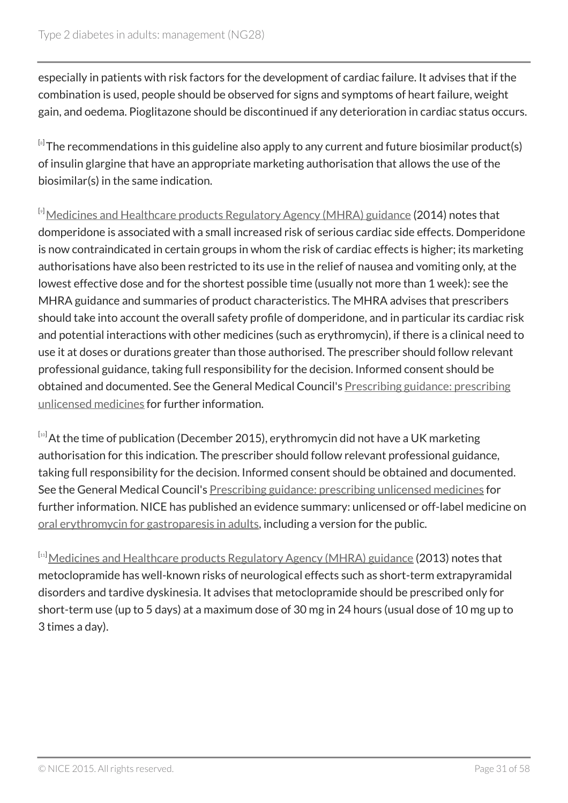especially in patients with risk factors for the development of cardiac failure. It advises that if the combination is used, people should be observed for signs and symptoms of heart failure, weight gain, and oedema. Pioglitazone should be discontinued if any deterioration in cardiac status occurs.

 $^{\text{\tiny{[s]}}}$ The recommendations in this guideline also apply to any current and future biosimilar product(s) of insulin glargine that have an appropriate marketing authorisation that allows the use of the biosimilar(s) in the same indication.

[6] Medicines and Healthcare products Regulatory Agency (MHRA) guidance (2014) notes that domperidone is associated with a small increased risk of serious cardiac side effects. Domperidone is now contraindicated in certain groups in whom the risk of cardiac effects is higher; its marketing authorisations have also been restricted to its use in the relief of nausea and vomiting only, at the lowest effective dose and for the shortest possible time (usually not more than 1 week): see the MHRA guidance and summaries of product characteristics. The MHRA advises that prescribers should take into account the overall safety profile of domperidone, and in particular its cardiac risk and potential interactions with other medicines (such as erythromycin), if there is a clinical need to use it at doses or durations greater than those authorised. The prescriber should follow relevant professional guidance, taking full responsibility for the decision. Informed consent should be obtained and documented. See the General Medical Council's Prescribing guidance: prescribing unlicensed medicines for further information.

 $[10]$ At the time of publication (December 2015), erythromycin did not have a UK marketing authorisation for this indication. The prescriber should follow relevant professional guidance, taking full responsibility for the decision. Informed consent should be obtained and documented. See the General Medical Council's Prescribing guidance: prescribing unlicensed medicines for further information. NICE has published an evidence summary: unlicensed or off-label medicine on oral erythromycin for gastroparesis in adults, including a version for the public.

[11] Medicines and Healthcare products Regulatory Agency (MHRA) guidance (2013) notes that metoclopramide has well-known risks of neurological effects such as short-term extrapyramidal disorders and tardive dyskinesia. It advises that metoclopramide should be prescribed only for short-term use (up to 5 days) at a maximum dose of 30 mg in 24 hours (usual dose of 10 mg up to 3 times a day).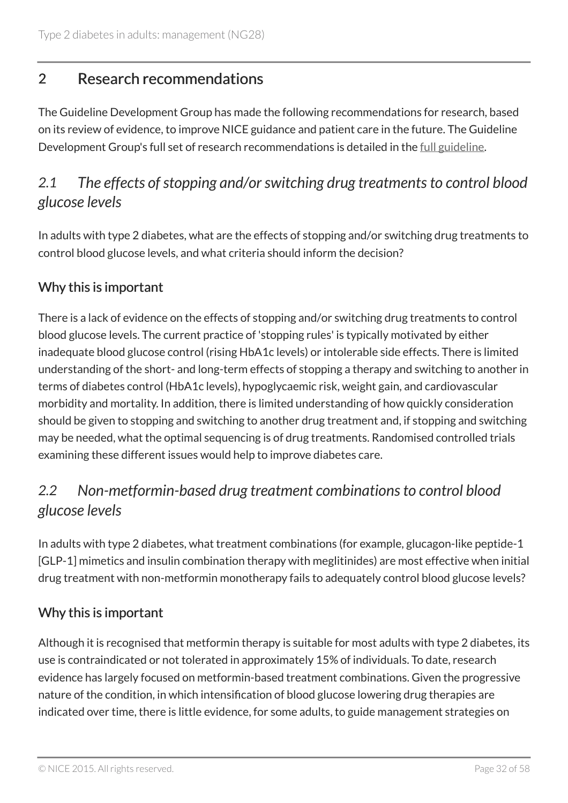# 2 Research recommendations

The Guideline Development Group has made the following recommendations for research, based on its review of evidence, to improve NICE guidance and patient care in the future. The Guideline Development Group's full set of research recommendations is detailed in the full guideline.

# *2.1 The effects of stopping and/or switching drug treatments to control blood glucose levels*

In adults with type 2 diabetes, what are the effects of stopping and/or switching drug treatments to control blood glucose levels, and what criteria should inform the decision?

### Why this is important

There is a lack of evidence on the effects of stopping and/or switching drug treatments to control blood glucose levels. The current practice of 'stopping rules' is typically motivated by either inadequate blood glucose control (rising HbA1c levels) or intolerable side effects. There is limited understanding of the short- and long-term effects of stopping a therapy and switching to another in terms of diabetes control (HbA1c levels), hypoglycaemic risk, weight gain, and cardiovascular morbidity and mortality. In addition, there is limited understanding of how quickly consideration should be given to stopping and switching to another drug treatment and, if stopping and switching may be needed, what the optimal sequencing is of drug treatments. Randomised controlled trials examining these different issues would help to improve diabetes care.

# *2.2 Non-metformin-based drug treatment combinations to control blood glucose levels*

In adults with type 2 diabetes, what treatment combinations (for example, glucagon-like peptide-1 [GLP-1] mimetics and insulin combination therapy with meglitinides) are most effective when initial drug treatment with non-metformin monotherapy fails to adequately control blood glucose levels?

### Why this is important

Although it is recognised that metformin therapy is suitable for most adults with type 2 diabetes, its use is contraindicated or not tolerated in approximately 15% of individuals. To date, research evidence has largely focused on metformin-based treatment combinations. Given the progressive nature of the condition, in which intensification of blood glucose lowering drug therapies are indicated over time, there is little evidence, for some adults, to guide management strategies on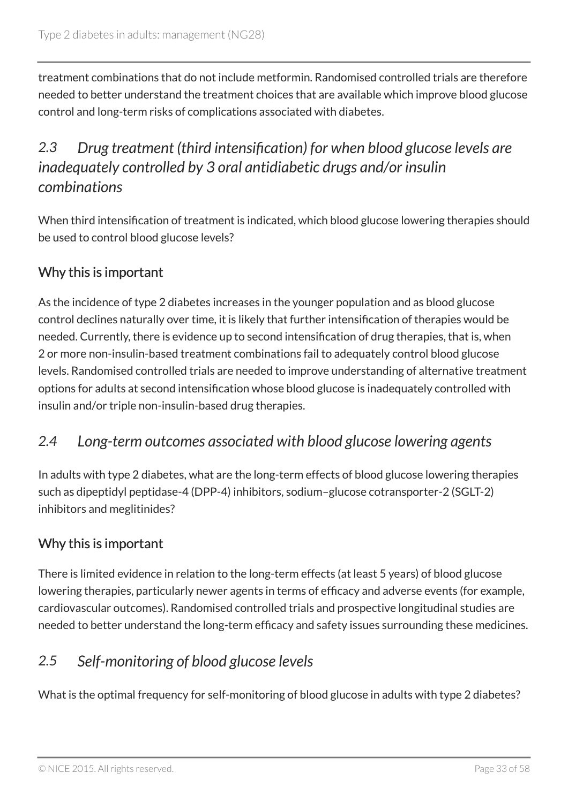treatment combinations that do not include metformin. Randomised controlled trials are therefore needed to better understand the treatment choices that are available which improve blood glucose control and long-term risks of complications associated with diabetes.

# *2.3 Drug treatment (third intensification) for when blood glucose levels are inadequately controlled by 3 oral antidiabetic drugs and/or insulin combinations*

When third intensification of treatment is indicated, which blood glucose lowering therapies should be used to control blood glucose levels?

### Why this is important

As the incidence of type 2 diabetes increases in the younger population and as blood glucose control declines naturally over time, it is likely that further intensification of therapies would be needed. Currently, there is evidence up to second intensification of drug therapies, that is, when 2 or more non-insulin-based treatment combinations fail to adequately control blood glucose levels. Randomised controlled trials are needed to improve understanding of alternative treatment options for adults at second intensification whose blood glucose is inadequately controlled with insulin and/or triple non-insulin-based drug therapies.

### *2.4 Long-term outcomes associated with blood glucose lowering agents*

In adults with type 2 diabetes, what are the long-term effects of blood glucose lowering therapies such as dipeptidyl peptidase-4 (DPP-4) inhibitors, sodium–glucose cotransporter-2 (SGLT-2) inhibitors and meglitinides?

### Why this is important

There is limited evidence in relation to the long-term effects (at least 5 years) of blood glucose lowering therapies, particularly newer agents in terms of efficacy and adverse events (for example, cardiovascular outcomes). Randomised controlled trials and prospective longitudinal studies are needed to better understand the long-term efficacy and safety issues surrounding these medicines.

### *2.5 Self-monitoring of blood glucose levels*

What is the optimal frequency for self-monitoring of blood glucose in adults with type 2 diabetes?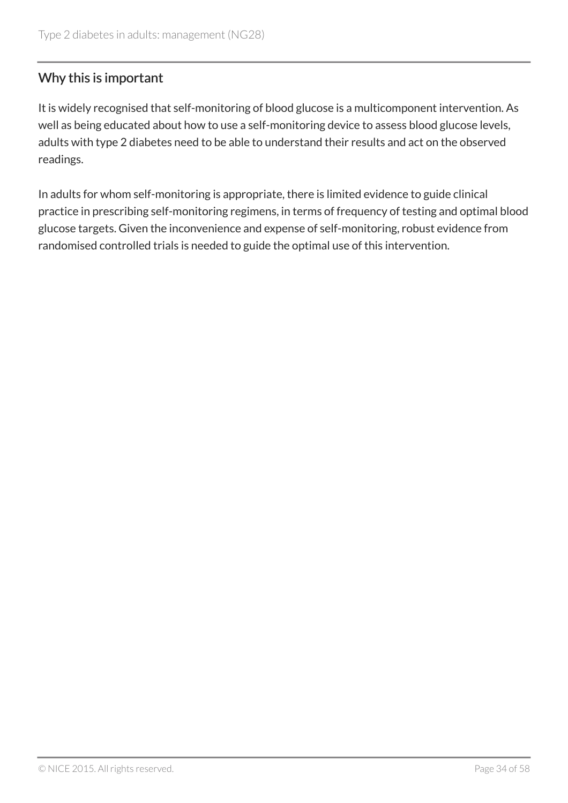### Why this is important

It is widely recognised that self-monitoring of blood glucose is a multicomponent intervention. As well as being educated about how to use a self-monitoring device to assess blood glucose levels, adults with type 2 diabetes need to be able to understand their results and act on the observed readings.

In adults for whom self-monitoring is appropriate, there is limited evidence to guide clinical practice in prescribing self-monitoring regimens, in terms of frequency of testing and optimal blood glucose targets. Given the inconvenience and expense of self-monitoring, robust evidence from randomised controlled trials is needed to guide the optimal use of this intervention.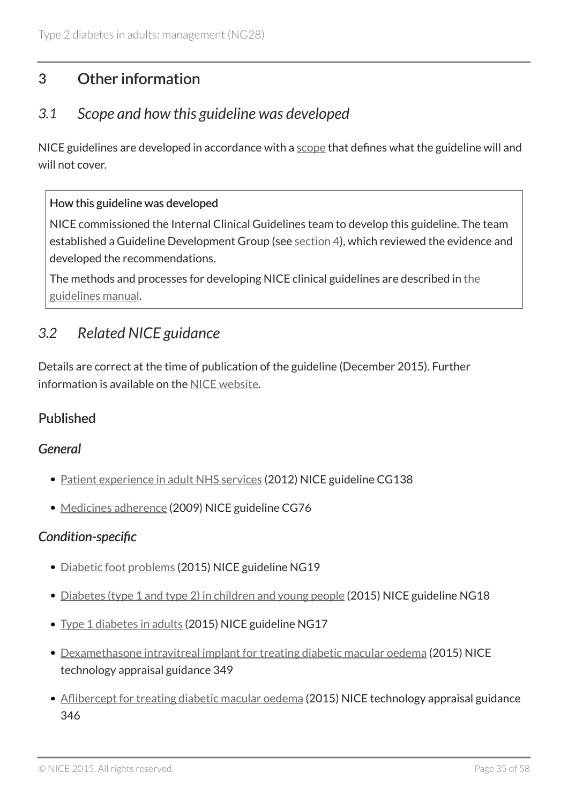# 3 Other information

### *3.1 Scope and how this guideline was developed*

NICE guidelines are developed in accordance with a scope that defines what the guideline will and will not cover.

#### How this guideline was developed

NICE commissioned the Internal Clinical Guidelines team to develop this guideline. The team established a Guideline Development Group (see section 4), which reviewed the evidence and developed the recommendations.

The methods and processes for developing NICE clinical guidelines are described in the guidelines manual.

### *3.2 Related NICE guidance*

Details are correct at the time of publication of the guideline (December 2015). Further information is available on the NICE website.

### Published

### *General*

- Patient experience in adult NHS services (2012) NICE guideline CG138
- Medicines adherence (2009) NICE guideline CG76

### *Condition-specific*

- Diabetic foot problems (2015) NICE guideline NG19
- Diabetes (type 1 and type 2) in children and young people (2015) NICE guideline NG18
- Type 1 diabetes in adults (2015) NICE guideline NG17
- Dexamethasone intravitreal implant for treating diabetic macular oedema (2015) NICE technology appraisal guidance 349
- Aflibercept for treating diabetic macular oedema (2015) NICE technology appraisal guidance 346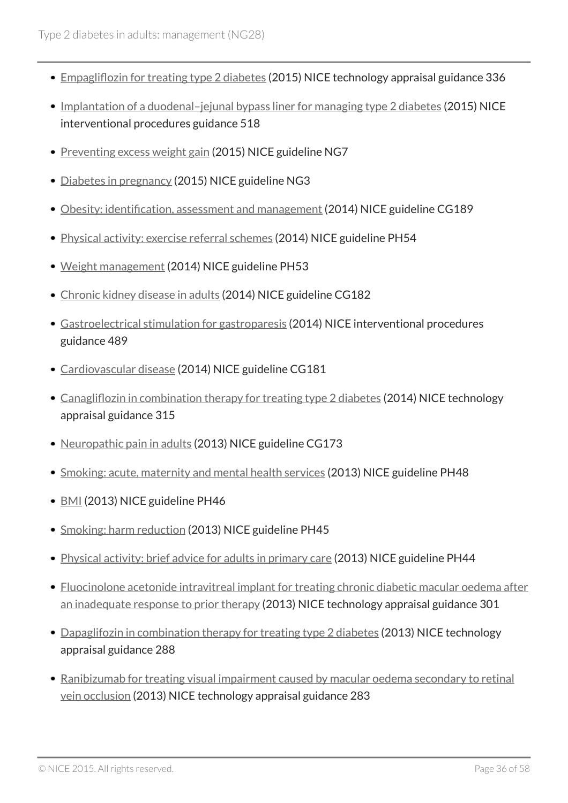- Empagliflozin for treating type 2 diabetes (2015) NICE technology appraisal guidance 336
- Implantation of a duodenal-jejunal bypass liner for managing type 2 diabetes (2015) NICE interventional procedures guidance 518
- Preventing excess weight gain (2015) NICE guideline NG7
- Diabetes in pregnancy (2015) NICE guideline NG3
- Obesity: identification, assessment and management (2014) NICE guideline CG189
- Physical activity: exercise referral schemes (2014) NICE guideline PH54
- Weight management (2014) NICE guideline PH53
- Chronic kidney disease in adults (2014) NICE guideline CG182
- Gastroelectrical stimulation for gastroparesis (2014) NICE interventional procedures guidance 489
- Cardiovascular disease (2014) NICE guideline CG181
- Canagliflozin in combination therapy for treating type 2 diabetes (2014) NICE technology appraisal guidance 315
- Neuropathic pain in adults (2013) NICE guideline CG173
- Smoking: acute, maternity and mental health services (2013) NICE guideline PH48
- BMI (2013) NICE guideline PH46
- Smoking: harm reduction (2013) NICE guideline PH45
- Physical activity: brief advice for adults in primary care (2013) NICE guideline PH44
- Fluocinolone acetonide intravitreal implant for treating chronic diabetic macular oedema after an inadequate response to prior therapy (2013) NICE technology appraisal guidance 301
- Dapaglifozin in combination therapy for treating type 2 diabetes (2013) NICE technology appraisal guidance 288
- Ranibizumab for treating visual impairment caused by macular oedema secondary to retinal vein occlusion (2013) NICE technology appraisal guidance 283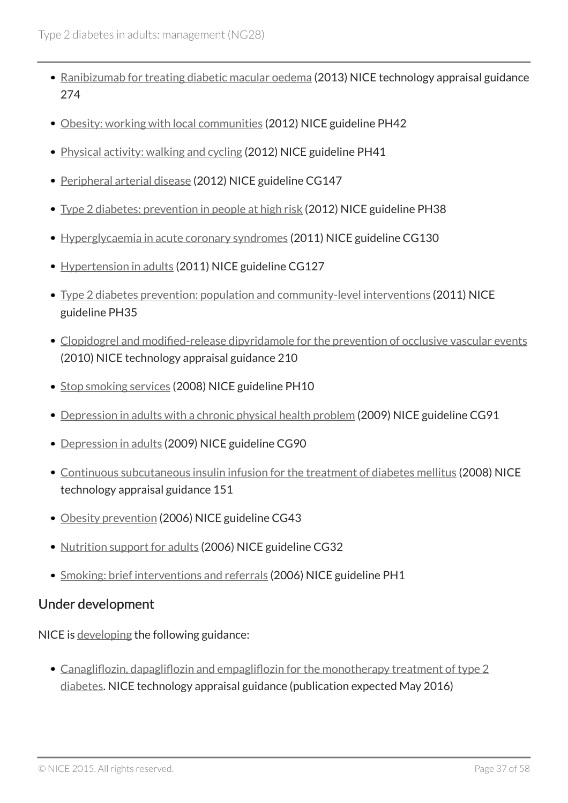- Ranibizumab for treating diabetic macular oedema (2013) NICE technology appraisal guidance 274
- Obesity: working with local communities (2012) NICE guideline PH42
- Physical activity: walking and cycling (2012) NICE guideline PH41
- Peripheral arterial disease (2012) NICE guideline CG147
- Type 2 diabetes: prevention in people at high risk (2012) NICE guideline PH38
- Hyperglycaemia in acute coronary syndromes (2011) NICE guideline CG130
- Hypertension in adults (2011) NICE guideline CG127
- Type 2 diabetes prevention: population and community-level interventions (2011) NICE guideline PH35
- Clopidogrel and modified-release dipyridamole for the prevention of occlusive vascular events (2010) NICE technology appraisal guidance 210
- Stop smoking services (2008) NICE guideline PH10
- Depression in adults with a chronic physical health problem (2009) NICE guideline CG91
- Depression in adults (2009) NICE guideline CG90
- Continuous subcutaneous insulin infusion for the treatment of diabetes mellitus (2008) NICE technology appraisal guidance 151
- Obesity prevention (2006) NICE guideline CG43
- Nutrition support for adults (2006) NICE guideline CG32
- Smoking: brief interventions and referrals (2006) NICE guideline PH1

### Under development

NICE is developing the following guidance:

• Canagliflozin, dapagliflozin and empagliflozin for the monotherapy treatment of type 2 diabetes. NICE technology appraisal guidance (publication expected May 2016)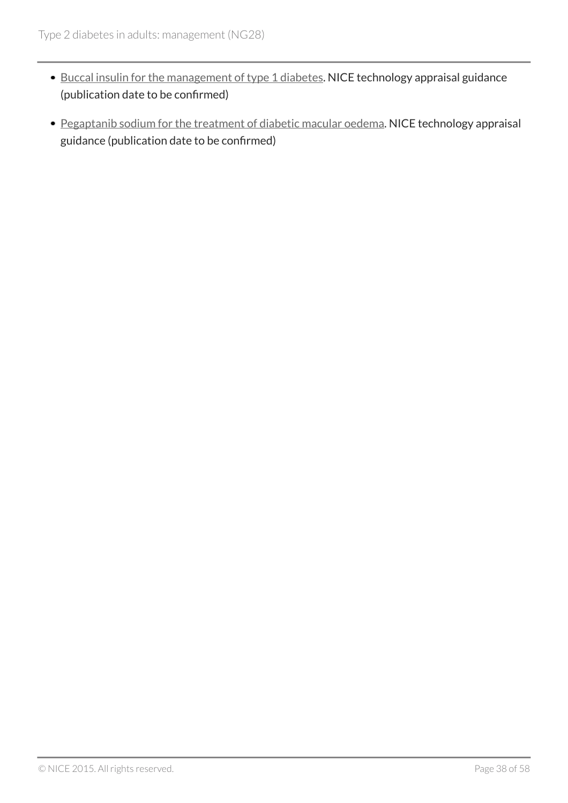- Buccal insulin for the management of type 1 diabetes. NICE technology appraisal guidance (publication date to be confirmed)
- Pegaptanib sodium for the treatment of diabetic macular oedema. NICE technology appraisal guidance (publication date to be confirmed)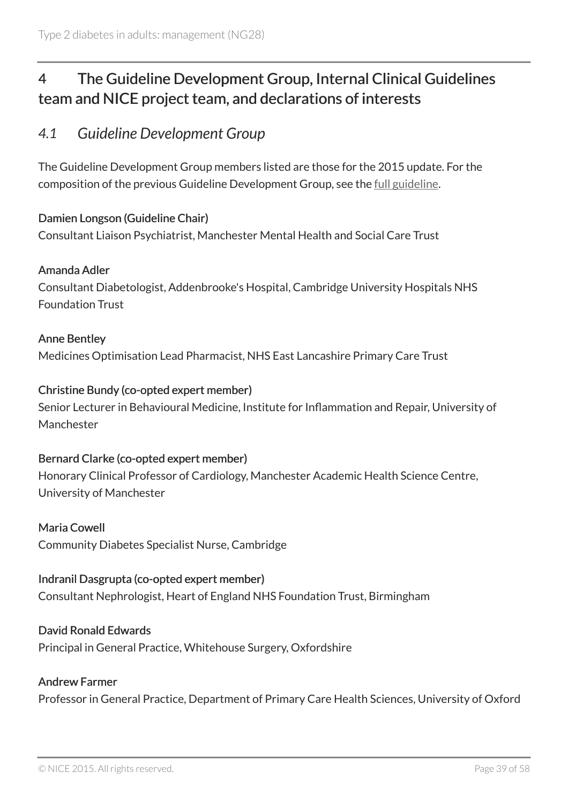# 4 The Guideline Development Group, Internal Clinical Guidelines team and NICE project team, and declarations of interests

### *4.1 Guideline Development Group*

The Guideline Development Group members listed are those for the 2015 update. For the composition of the previous Guideline Development Group, see the full guideline.

#### Damien Longson (Guideline Chair)

Consultant Liaison Psychiatrist, Manchester Mental Health and Social Care Trust

#### Amanda Adler

Consultant Diabetologist, Addenbrooke's Hospital, Cambridge University Hospitals NHS Foundation Trust

#### Anne Bentley

Medicines Optimisation Lead Pharmacist, NHS East Lancashire Primary Care Trust

#### Christine Bundy (co-opted expert member)

Senior Lecturer in Behavioural Medicine, Institute for Inflammation and Repair, University of Manchester

#### Bernard Clarke (co-opted expert member)

Honorary Clinical Professor of Cardiology, Manchester Academic Health Science Centre, University of Manchester

#### Maria Cowell

Community Diabetes Specialist Nurse, Cambridge

#### Indranil Dasgrupta (co-opted expert member)

Consultant Nephrologist, Heart of England NHS Foundation Trust, Birmingham

#### David Ronald Edwards

Principal in General Practice, Whitehouse Surgery, Oxfordshire

#### Andrew Farmer

Professor in General Practice, Department of Primary Care Health Sciences, University of Oxford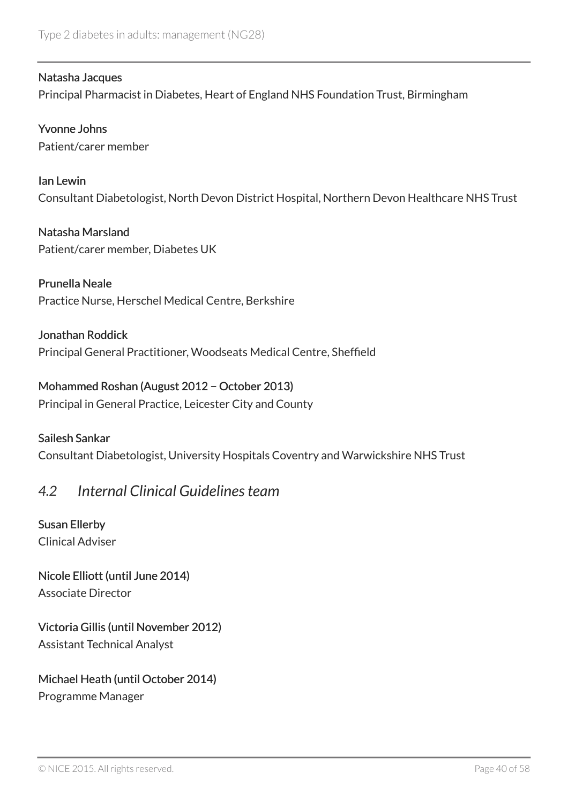#### Natasha Jacques

Principal Pharmacist in Diabetes, Heart of England NHS Foundation Trust, Birmingham

Yvonne Johns Patient/carer member

Ian Lewin Consultant Diabetologist, North Devon District Hospital, Northern Devon Healthcare NHS Trust

Natasha Marsland Patient/carer member, Diabetes UK

Prunella Neale Practice Nurse, Herschel Medical Centre, Berkshire

Jonathan Roddick Principal General Practitioner, Woodseats Medical Centre, Sheffield

### Mohammed Roshan (August 2012 − October 2013)

Principal in General Practice, Leicester City and County

#### Sailesh Sankar

Consultant Diabetologist, University Hospitals Coventry and Warwickshire NHS Trust

### *4.2 Internal Clinical Guidelines team*

Susan Ellerby Clinical Adviser

# Nicole Elliott (until June 2014)

Associate Director

### Victoria Gillis (until November 2012)

Assistant Technical Analyst

### Michael Heath (until October 2014)

Programme Manager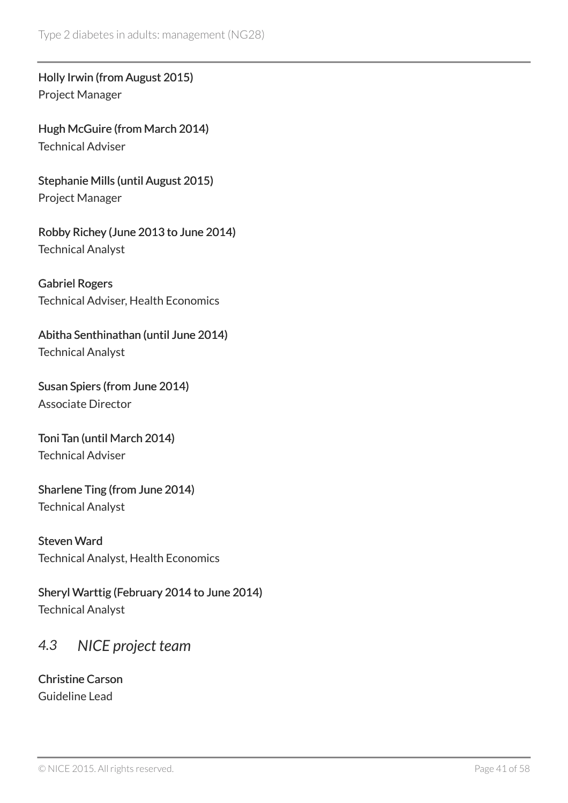Holly Irwin (from August 2015) Project Manager

Hugh McGuire (from March 2014) Technical Adviser

Stephanie Mills (until August 2015) Project Manager

Robby Richey (June 2013 to June 2014) Technical Analyst

Gabriel Rogers Technical Adviser, Health Economics

Abitha Senthinathan (until June 2014) Technical Analyst

Susan Spiers (from June 2014) Associate Director

Toni Tan (until March 2014) Technical Adviser

Sharlene Ting (from June 2014) Technical Analyst

Steven Ward Technical Analyst, Health Economics

Sheryl Warttig (February 2014 to June 2014) Technical Analyst

# *4.3 NICE project team*

Christine Carson Guideline Lead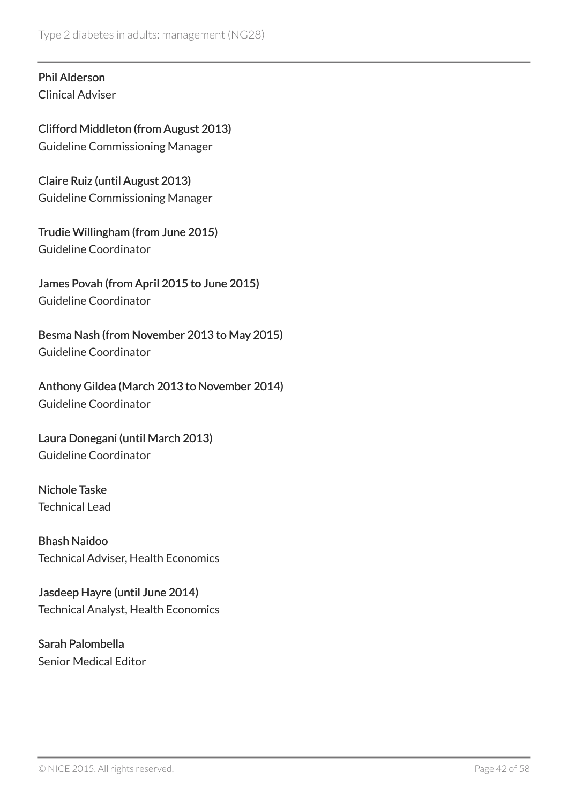#### Phil Alderson Clinical Adviser

Clifford Middleton (from August 2013) Guideline Commissioning Manager

Claire Ruiz (until August 2013) Guideline Commissioning Manager

Trudie Willingham (from June 2015) Guideline Coordinator

James Povah (from April 2015 to June 2015) Guideline Coordinator

Besma Nash (from November 2013 to May 2015) Guideline Coordinator

Anthony Gildea (March 2013 to November 2014) Guideline Coordinator

Laura Donegani (until March 2013) Guideline Coordinator

Nichole Taske Technical Lead

Bhash Naidoo Technical Adviser, Health Economics

Jasdeep Hayre (until June 2014) Technical Analyst, Health Economics

Sarah Palombella Senior Medical Editor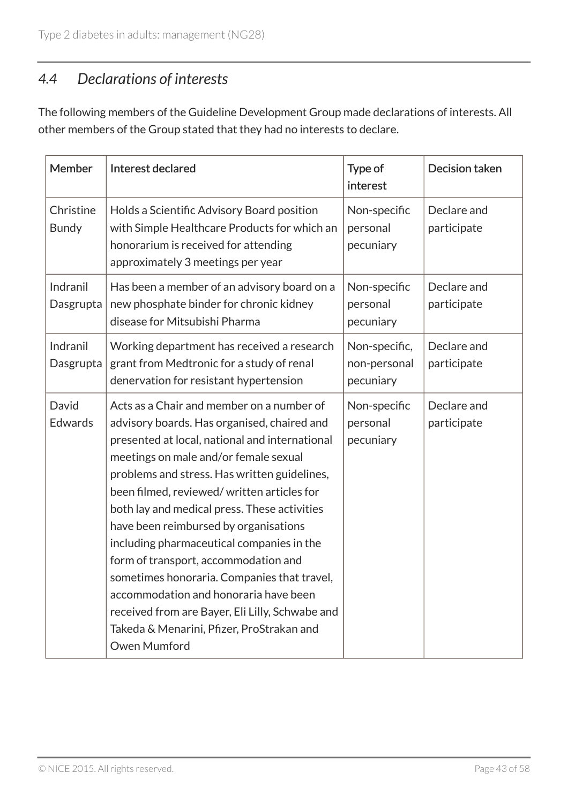# *4.4 Declarations of interests*

The following members of the Guideline Development Group made declarations of interests. All other members of the Group stated that they had no interests to declare.

| Member                    | Interest declared                                                                                                                                                                                                                                                                                                                                                                                                                                                                                                                                                                                                                                                       | Type of<br>interest                        | Decision taken             |
|---------------------------|-------------------------------------------------------------------------------------------------------------------------------------------------------------------------------------------------------------------------------------------------------------------------------------------------------------------------------------------------------------------------------------------------------------------------------------------------------------------------------------------------------------------------------------------------------------------------------------------------------------------------------------------------------------------------|--------------------------------------------|----------------------------|
| Christine<br><b>Bundy</b> | Holds a Scientific Advisory Board position<br>with Simple Healthcare Products for which an<br>honorarium is received for attending<br>approximately 3 meetings per year                                                                                                                                                                                                                                                                                                                                                                                                                                                                                                 | Non-specific<br>personal<br>pecuniary      | Declare and<br>participate |
| Indranil<br>Dasgrupta     | Has been a member of an advisory board on a<br>new phosphate binder for chronic kidney<br>disease for Mitsubishi Pharma                                                                                                                                                                                                                                                                                                                                                                                                                                                                                                                                                 | Non-specific<br>personal<br>pecuniary      | Declare and<br>participate |
| Indranil<br>Dasgrupta     | Working department has received a research<br>grant from Medtronic for a study of renal<br>denervation for resistant hypertension                                                                                                                                                                                                                                                                                                                                                                                                                                                                                                                                       | Non-specific,<br>non-personal<br>pecuniary | Declare and<br>participate |
| David<br><b>Edwards</b>   | Acts as a Chair and member on a number of<br>advisory boards. Has organised, chaired and<br>presented at local, national and international<br>meetings on male and/or female sexual<br>problems and stress. Has written guidelines,<br>been filmed, reviewed/written articles for<br>both lay and medical press. These activities<br>have been reimbursed by organisations<br>including pharmaceutical companies in the<br>form of transport, accommodation and<br>sometimes honoraria. Companies that travel,<br>accommodation and honoraria have been<br>received from are Bayer, Eli Lilly, Schwabe and<br>Takeda & Menarini, Pfizer, ProStrakan and<br>Owen Mumford | Non-specific<br>personal<br>pecuniary      | Declare and<br>participate |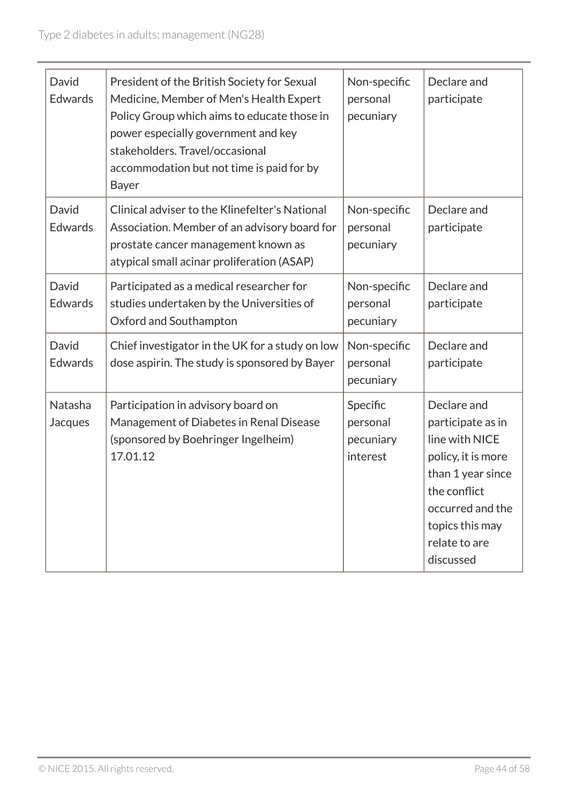| David<br><b>Edwards</b> | President of the British Society for Sexual<br>Medicine, Member of Men's Health Expert<br>Policy Group which aims to educate those in<br>power especially government and key<br>stakeholders. Travel/occasional<br>accommodation but not time is paid for by<br>Bayer | Non-specific<br>personal<br>pecuniary         | Declare and<br>participate                                                                                                                                                         |
|-------------------------|-----------------------------------------------------------------------------------------------------------------------------------------------------------------------------------------------------------------------------------------------------------------------|-----------------------------------------------|------------------------------------------------------------------------------------------------------------------------------------------------------------------------------------|
| David<br><b>Edwards</b> | Clinical adviser to the Klinefelter's National<br>Association. Member of an advisory board for<br>prostate cancer management known as<br>atypical small acinar proliferation (ASAP)                                                                                   | Non-specific<br>personal<br>pecuniary         | Declare and<br>participate                                                                                                                                                         |
| David<br><b>Edwards</b> | Participated as a medical researcher for<br>studies undertaken by the Universities of<br>Oxford and Southampton                                                                                                                                                       | Non-specific<br>personal<br>pecuniary         | Declare and<br>participate                                                                                                                                                         |
| David<br>Edwards        | Chief investigator in the UK for a study on low<br>dose aspirin. The study is sponsored by Bayer                                                                                                                                                                      | Non-specific<br>personal<br>pecuniary         | Declare and<br>participate                                                                                                                                                         |
| Natasha<br>Jacques      | Participation in advisory board on<br>Management of Diabetes in Renal Disease<br>(sponsored by Boehringer Ingelheim)<br>17.01.12                                                                                                                                      | Specific<br>personal<br>pecuniary<br>interest | Declare and<br>participate as in<br>line with NICE<br>policy, it is more<br>than 1 year since<br>the conflict<br>occurred and the<br>topics this may<br>relate to are<br>discussed |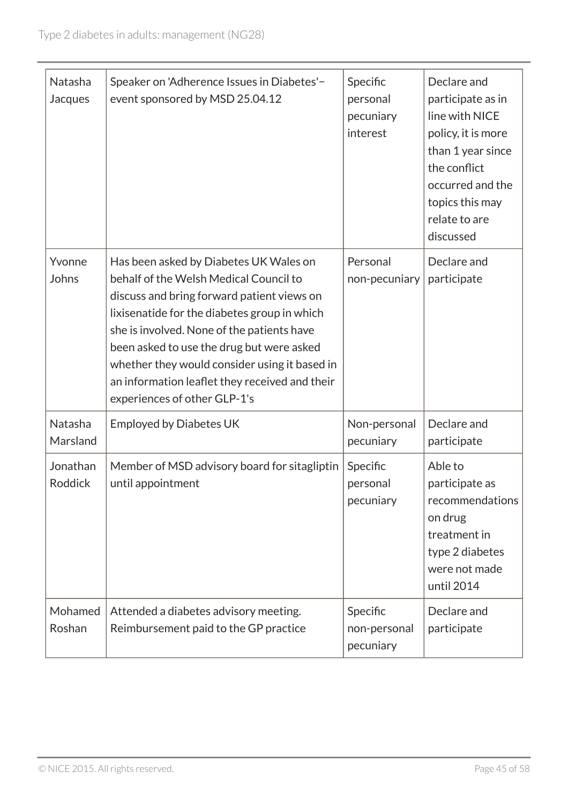| Natasha<br>Jacques         | Speaker on 'Adherence Issues in Diabetes'-<br>event sponsored by MSD 25.04.12                                                                                                                                                                                                                                                                                                                                | Specific<br>personal<br>pecuniary<br>interest | Declare and<br>participate as in<br>line with NICE<br>policy, it is more<br>than 1 year since<br>the conflict<br>occurred and the<br>topics this may<br>relate to are<br>discussed |
|----------------------------|--------------------------------------------------------------------------------------------------------------------------------------------------------------------------------------------------------------------------------------------------------------------------------------------------------------------------------------------------------------------------------------------------------------|-----------------------------------------------|------------------------------------------------------------------------------------------------------------------------------------------------------------------------------------|
| Yvonne<br>Johns            | Has been asked by Diabetes UK Wales on<br>behalf of the Welsh Medical Council to<br>discuss and bring forward patient views on<br>lixisenatide for the diabetes group in which<br>she is involved. None of the patients have<br>been asked to use the drug but were asked<br>whether they would consider using it based in<br>an information leaflet they received and their<br>experiences of other GLP-1's | Personal<br>non-pecuniary                     | Declare and<br>participate                                                                                                                                                         |
| Natasha<br>Marsland        | <b>Employed by Diabetes UK</b>                                                                                                                                                                                                                                                                                                                                                                               | Non-personal<br>pecuniary                     | Declare and<br>participate                                                                                                                                                         |
| Jonathan<br><b>Roddick</b> | Member of MSD advisory board for sitagliptin<br>until appointment                                                                                                                                                                                                                                                                                                                                            | Specific<br>personal<br>pecuniary             | Able to<br>participate as<br>recommendations<br>on drug<br>treatment in<br>type 2 diabetes<br>were not made<br>until 2014                                                          |
| Mohamed<br>Roshan          | Attended a diabetes advisory meeting.<br>Reimbursement paid to the GP practice                                                                                                                                                                                                                                                                                                                               | Specific<br>non-personal<br>pecuniary         | Declare and<br>participate                                                                                                                                                         |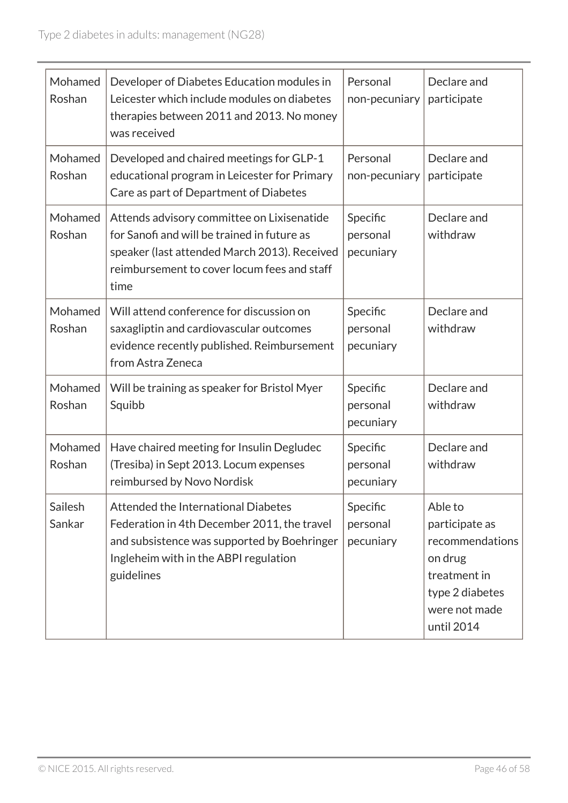| Mohamed<br>Roshan | Developer of Diabetes Education modules in<br>Leicester which include modules on diabetes<br>therapies between 2011 and 2013. No money<br>was received                                           | Personal<br>non-pecuniary         | Declare and<br>participate                                                                                                |
|-------------------|--------------------------------------------------------------------------------------------------------------------------------------------------------------------------------------------------|-----------------------------------|---------------------------------------------------------------------------------------------------------------------------|
| Mohamed<br>Roshan | Developed and chaired meetings for GLP-1<br>educational program in Leicester for Primary<br>Care as part of Department of Diabetes                                                               | Personal<br>non-pecuniary         | Declare and<br>participate                                                                                                |
| Mohamed<br>Roshan | Attends advisory committee on Lixisenatide<br>for Sanofi and will be trained in future as<br>speaker (last attended March 2013). Received<br>reimbursement to cover locum fees and staff<br>time | Specific<br>personal<br>pecuniary | Declare and<br>withdraw                                                                                                   |
| Mohamed<br>Roshan | Will attend conference for discussion on<br>saxagliptin and cardiovascular outcomes<br>evidence recently published. Reimbursement<br>from Astra Zeneca                                           | Specific<br>personal<br>pecuniary | Declare and<br>withdraw                                                                                                   |
| Mohamed<br>Roshan | Will be training as speaker for Bristol Myer<br>Squibb                                                                                                                                           | Specific<br>personal<br>pecuniary | Declare and<br>withdraw                                                                                                   |
| Mohamed<br>Roshan | Have chaired meeting for Insulin Degludec<br>(Tresiba) in Sept 2013. Locum expenses<br>reimbursed by Novo Nordisk                                                                                | Specific<br>personal<br>pecuniary | Declare and<br>withdraw                                                                                                   |
| Sailesh<br>Sankar | Attended the International Diabetes<br>Federation in 4th December 2011, the travel<br>and subsistence was supported by Boehringer<br>Ingleheim with in the ABPI regulation<br>guidelines         | Specific<br>personal<br>pecuniary | Able to<br>participate as<br>recommendations<br>on drug<br>treatment in<br>type 2 diabetes<br>were not made<br>until 2014 |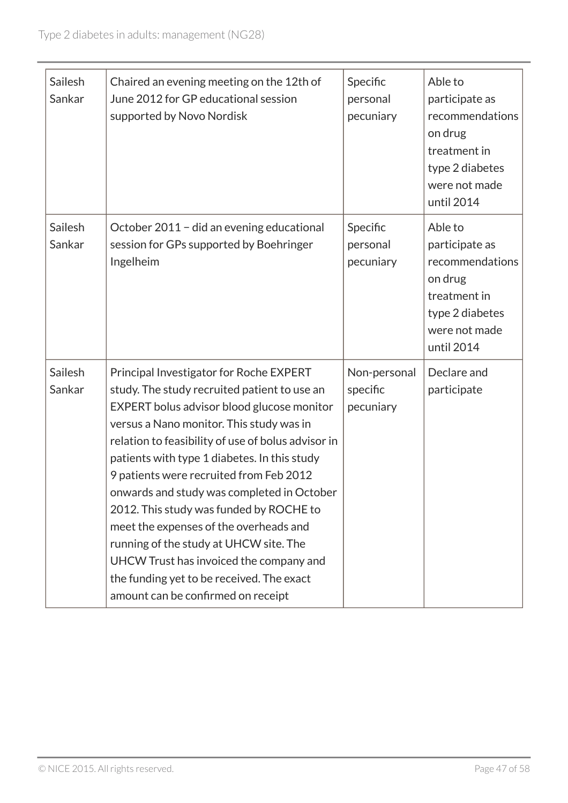| Sailesh<br>Sankar | Chaired an evening meeting on the 12th of<br>June 2012 for GP educational session<br>supported by Novo Nordisk                                                                                                                                                                                                                                                                                                                                                                                                                                                                                                                                | Specific<br>personal<br>pecuniary     | Able to<br>participate as<br>recommendations<br>on drug<br>treatment in<br>type 2 diabetes<br>were not made<br>until 2014 |
|-------------------|-----------------------------------------------------------------------------------------------------------------------------------------------------------------------------------------------------------------------------------------------------------------------------------------------------------------------------------------------------------------------------------------------------------------------------------------------------------------------------------------------------------------------------------------------------------------------------------------------------------------------------------------------|---------------------------------------|---------------------------------------------------------------------------------------------------------------------------|
| Sailesh<br>Sankar | October 2011 - did an evening educational<br>session for GPs supported by Boehringer<br>Ingelheim                                                                                                                                                                                                                                                                                                                                                                                                                                                                                                                                             | Specific<br>personal<br>pecuniary     | Able to<br>participate as<br>recommendations<br>on drug<br>treatment in<br>type 2 diabetes<br>were not made<br>until 2014 |
| Sailesh<br>Sankar | Principal Investigator for Roche EXPERT<br>study. The study recruited patient to use an<br>EXPERT bolus advisor blood glucose monitor<br>versus a Nano monitor. This study was in<br>relation to feasibility of use of bolus advisor in<br>patients with type 1 diabetes. In this study<br>9 patients were recruited from Feb 2012<br>onwards and study was completed in October<br>2012. This study was funded by ROCHE to<br>meet the expenses of the overheads and<br>running of the study at UHCW site. The<br>UHCW Trust has invoiced the company and<br>the funding yet to be received. The exact<br>amount can be confirmed on receipt | Non-personal<br>specific<br>pecuniary | Declare and<br>participate                                                                                                |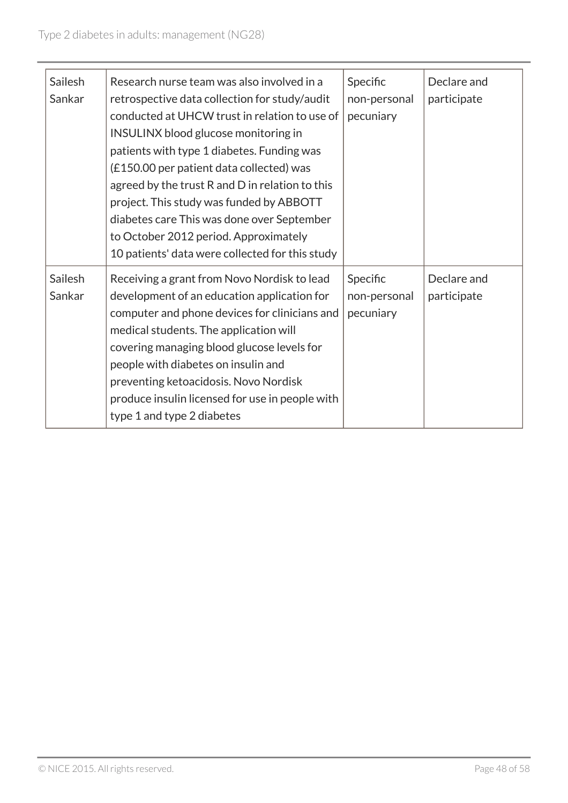| Sailesh<br>Sankar | Research nurse team was also involved in a<br>retrospective data collection for study/audit<br>conducted at UHCW trust in relation to use of<br><b>INSULINX</b> blood glucose monitoring in<br>patients with type 1 diabetes. Funding was<br>(£150.00 per patient data collected) was<br>agreed by the trust R and D in relation to this<br>project. This study was funded by ABBOTT<br>diabetes care This was done over September<br>to October 2012 period. Approximately<br>10 patients' data were collected for this study | Specific<br>non-personal<br>pecuniary | Declare and<br>participate |
|-------------------|--------------------------------------------------------------------------------------------------------------------------------------------------------------------------------------------------------------------------------------------------------------------------------------------------------------------------------------------------------------------------------------------------------------------------------------------------------------------------------------------------------------------------------|---------------------------------------|----------------------------|
| Sailesh<br>Sankar | Receiving a grant from Novo Nordisk to lead<br>development of an education application for<br>computer and phone devices for clinicians and<br>medical students. The application will<br>covering managing blood glucose levels for<br>people with diabetes on insulin and<br>preventing ketoacidosis. Novo Nordisk<br>produce insulin licensed for use in people with<br>type 1 and type 2 diabetes                                                                                                                           | Specific<br>non-personal<br>pecuniary | Declare and<br>participate |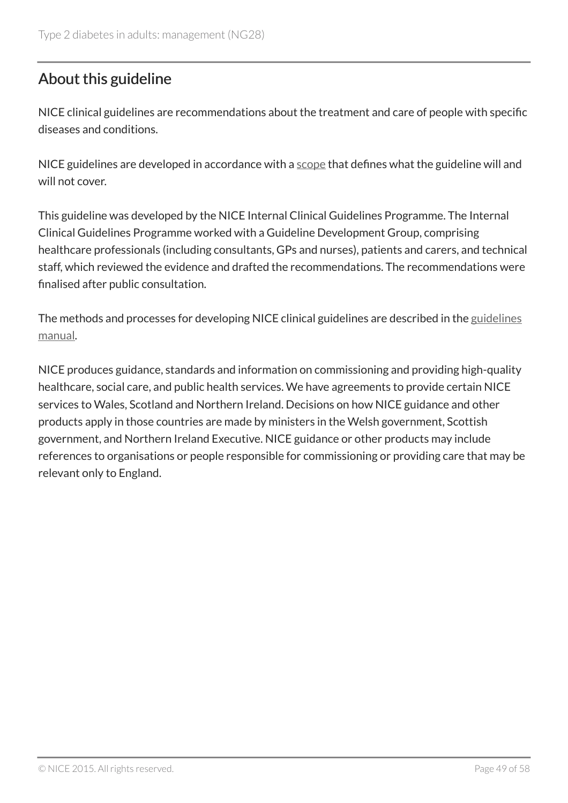# About this guideline

NICE clinical guidelines are recommendations about the treatment and care of people with specific diseases and conditions.

NICE guidelines are developed in accordance with a scope that defines what the guideline will and will not cover.

This guideline was developed by the NICE Internal Clinical Guidelines Programme. The Internal Clinical Guidelines Programme worked with a Guideline Development Group, comprising healthcare professionals (including consultants, GPs and nurses), patients and carers, and technical staff, which reviewed the evidence and drafted the recommendations. The recommendations were finalised after public consultation.

The methods and processes for developing NICE clinical guidelines are described in the guidelines manual.

NICE produces guidance, standards and information on commissioning and providing high-quality healthcare, social care, and public health services. We have agreements to provide certain NICE services to Wales, Scotland and Northern Ireland. Decisions on how NICE guidance and other products apply in those countries are made by ministers in the Welsh government, Scottish government, and Northern Ireland Executive. NICE guidance or other products may include references to organisations or people responsible for commissioning or providing care that may be relevant only to England.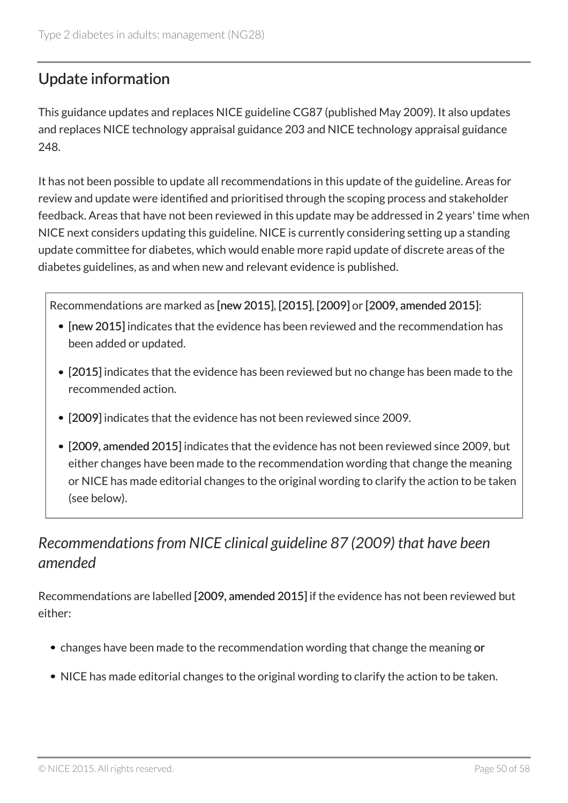# Update information

This guidance updates and replaces NICE guideline CG87 (published May 2009). It also updates and replaces NICE technology appraisal guidance 203 and NICE technology appraisal guidance 248.

It has not been possible to update all recommendations in this update of the guideline. Areas for review and update were identified and prioritised through the scoping process and stakeholder feedback. Areas that have not been reviewed in this update may be addressed in 2 years' time when NICE next considers updating this guideline. NICE is currently considering setting up a standing update committee for diabetes, which would enable more rapid update of discrete areas of the diabetes guidelines, as and when new and relevant evidence is published.

Recommendations are marked as [new 2015], [2015], [2009] or [2009, amended 2015]:

- [new 2015] indicates that the evidence has been reviewed and the recommendation has been added or updated.
- [2015] indicates that the evidence has been reviewed but no change has been made to the recommended action.
- [2009] indicates that the evidence has not been reviewed since 2009.
- [2009, amended 2015] indicates that the evidence has not been reviewed since 2009, but either changes have been made to the recommendation wording that change the meaning or NICE has made editorial changes to the original wording to clarify the action to be taken (see below).

# *Recommendations from NICE clinical guideline 87 (2009) that have been amended*

Recommendations are labelled [2009, amended 2015] if the evidence has not been reviewed but either:

- changes have been made to the recommendation wording that change the meaning or
- NICE has made editorial changes to the original wording to clarify the action to be taken.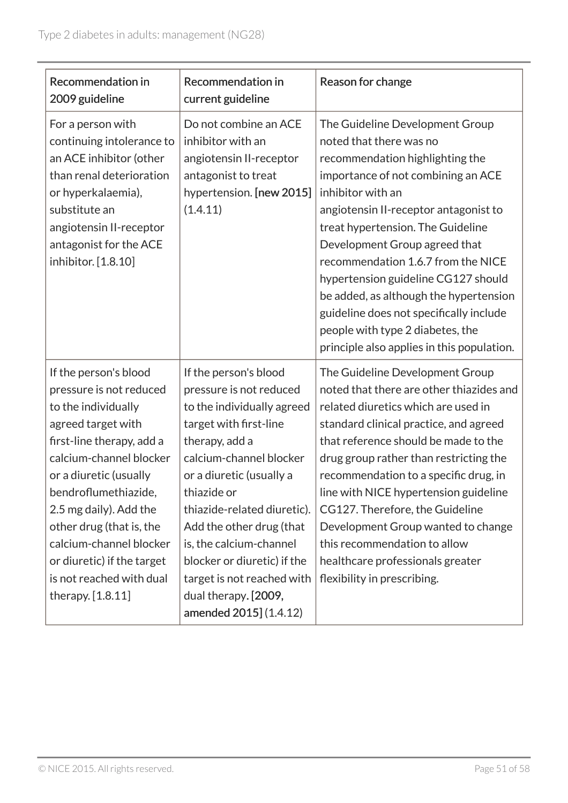| <b>Recommendation in</b><br>2009 guideline                                                                                                                                                                                                                                                                                                                              | <b>Recommendation in</b><br>current guideline                                                                                                                                                                                                                                                                                                                                                         | Reason for change                                                                                                                                                                                                                                                                                                                                                                                                                                                                                                           |
|-------------------------------------------------------------------------------------------------------------------------------------------------------------------------------------------------------------------------------------------------------------------------------------------------------------------------------------------------------------------------|-------------------------------------------------------------------------------------------------------------------------------------------------------------------------------------------------------------------------------------------------------------------------------------------------------------------------------------------------------------------------------------------------------|-----------------------------------------------------------------------------------------------------------------------------------------------------------------------------------------------------------------------------------------------------------------------------------------------------------------------------------------------------------------------------------------------------------------------------------------------------------------------------------------------------------------------------|
| For a person with<br>continuing intolerance to<br>an ACE inhibitor (other<br>than renal deterioration<br>or hyperkalaemia),<br>substitute an<br>angiotensin II-receptor<br>antagonist for the ACE<br>inhibitor. [1.8.10]                                                                                                                                                | Do not combine an ACE<br>inhibitor with an<br>angiotensin II-receptor<br>antagonist to treat<br>hypertension. [new 2015]<br>(1.4.11)                                                                                                                                                                                                                                                                  | The Guideline Development Group<br>noted that there was no<br>recommendation highlighting the<br>importance of not combining an ACE<br>inhibitor with an<br>angiotensin II-receptor antagonist to<br>treat hypertension. The Guideline<br>Development Group agreed that<br>recommendation 1.6.7 from the NICE<br>hypertension guideline CG127 should<br>be added, as although the hypertension<br>guideline does not specifically include<br>people with type 2 diabetes, the<br>principle also applies in this population. |
| If the person's blood<br>pressure is not reduced<br>to the individually<br>agreed target with<br>first-line therapy, add a<br>calcium-channel blocker<br>or a diuretic (usually<br>bendroflumethiazide,<br>2.5 mg daily). Add the<br>other drug (that is, the<br>calcium-channel blocker<br>or diuretic) if the target<br>is not reached with dual<br>therapy. [1.8.11] | If the person's blood<br>pressure is not reduced<br>to the individually agreed<br>target with first-line<br>therapy, add a<br>calcium-channel blocker<br>or a diuretic (usually a<br>thiazide or<br>thiazide-related diuretic).<br>Add the other drug (that<br>is, the calcium-channel<br>blocker or diuretic) if the<br>target is not reached with<br>dual therapy. [2009,<br>amended 2015] (1.4.12) | The Guideline Development Group<br>noted that there are other thiazides and<br>related diuretics which are used in<br>standard clinical practice, and agreed<br>that reference should be made to the<br>drug group rather than restricting the<br>recommendation to a specific drug, in<br>line with NICE hypertension guideline<br>CG127. Therefore, the Guideline<br>Development Group wanted to change<br>this recommendation to allow<br>healthcare professionals greater<br>flexibility in prescribing.                |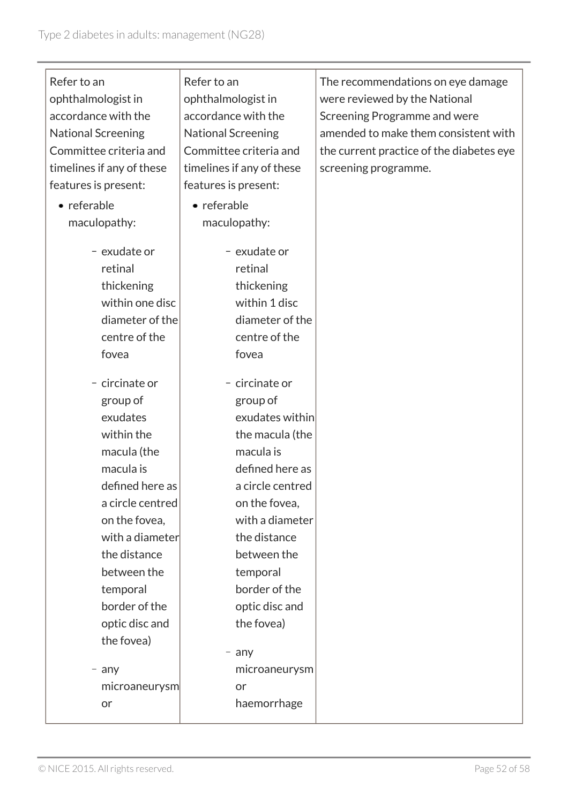| Refer to an               | Refer to an               | The recommendations on eye damage        |
|---------------------------|---------------------------|------------------------------------------|
| ophthalmologist in        | ophthalmologist in        | were reviewed by the National            |
| accordance with the       | accordance with the       | Screening Programme and were             |
| <b>National Screening</b> | <b>National Screening</b> | amended to make them consistent with     |
| Committee criteria and    | Committee criteria and    | the current practice of the diabetes eye |
| timelines if any of these | timelines if any of these | screening programme.                     |
| features is present:      | features is present:      |                                          |
| • referable               | • referable               |                                          |
| maculopathy:              | maculopathy:              |                                          |
|                           |                           |                                          |
| - exudate or              | - exudate or              |                                          |
| retinal                   | retinal                   |                                          |
| thickening                | thickening                |                                          |
| within one disc           | within 1 disc             |                                          |
| diameter of the           | diameter of the           |                                          |
| centre of the             | centre of the             |                                          |
| fovea                     | fovea                     |                                          |
| - circinate or            | - circinate or            |                                          |
| group of                  | group of                  |                                          |
| exudates                  | exudates within           |                                          |
| within the                | the macula (the           |                                          |
| macula (the               | macula is                 |                                          |
| macula is                 | defined here as           |                                          |
| defined here as           | a circle centred          |                                          |
| a circle centred          | on the fovea,             |                                          |
| on the fovea,             | with a diameter           |                                          |
| with a diameter           | the distance              |                                          |
| the distance              | between the               |                                          |
| between the               | temporal                  |                                          |
| temporal                  | border of the             |                                          |
| border of the             | optic disc and            |                                          |
| optic disc and            | the fovea)                |                                          |
| the fovea)                |                           |                                          |
|                           | $-$ any                   |                                          |
| $-$ any                   | microaneurysm             |                                          |
| microaneurysm             | or                        |                                          |
| or                        | haemorrhage               |                                          |
|                           |                           |                                          |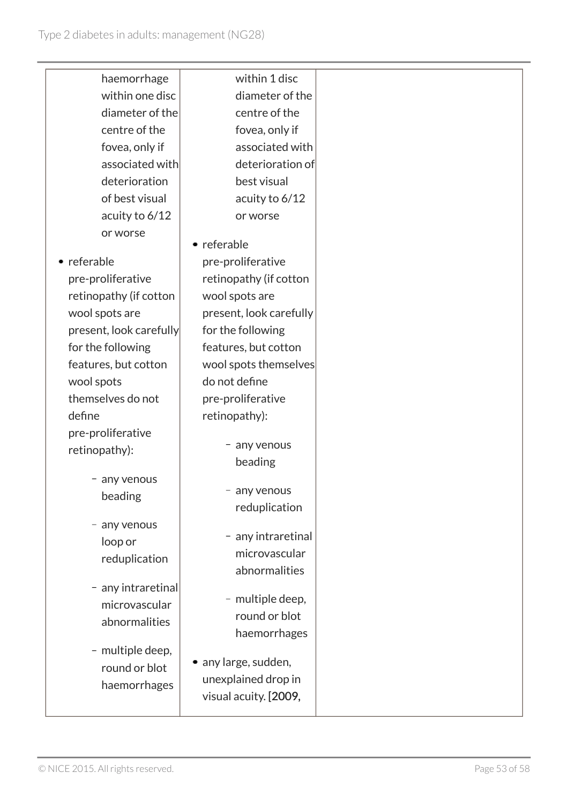| haemorrhage             | within 1 disc           |
|-------------------------|-------------------------|
| within one disc         | diameter of the         |
| diameter of the         | centre of the           |
| centre of the           | fovea, only if          |
| fovea, only if          | associated with         |
| associated with         | deterioration of        |
| deterioration           | best visual             |
| of best visual          | acuity to 6/12          |
| acuity to 6/12          | or worse                |
| or worse                |                         |
|                         | • referable             |
| • referable             | pre-proliferative       |
| pre-proliferative       | retinopathy (if cotton  |
| retinopathy (if cotton  | wool spots are          |
| wool spots are          | present, look carefully |
| present, look carefully | for the following       |
| for the following       | features, but cotton    |
| features, but cotton    | wool spots themselves   |
| wool spots              | do not define           |
| themselves do not       | pre-proliferative       |
| define                  | retinopathy):           |
| pre-proliferative       | any venous              |
| retinopathy):           | beading                 |
| any venous              |                         |
| beading                 | any venous              |
|                         | reduplication           |
| any venous              |                         |
| loop or                 | - any intraretinal      |
| reduplication           | microvascular           |
|                         | abnormalities           |
| - any intraretinal      | - multiple deep,        |
| microvascular           | round or blot           |
| abnormalities           | haemorrhages            |
| - multiple deep,        |                         |
| round or blot           | • any large, sudden,    |
| haemorrhages            | unexplained drop in     |
|                         | visual acuity. [2009,   |
|                         |                         |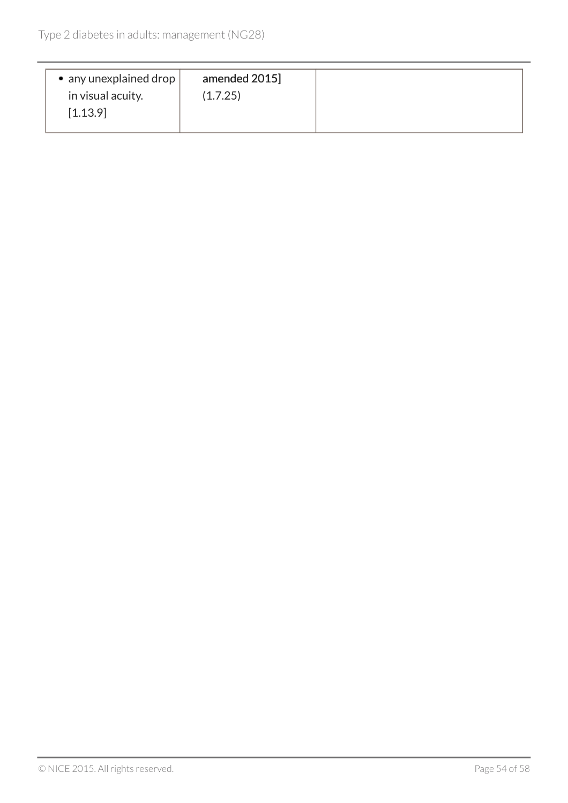| amended 2015]<br>in visual acuity.<br>(1.7.25)<br>[1.13.9] | • any unexplained drop |
|------------------------------------------------------------|------------------------|
|------------------------------------------------------------|------------------------|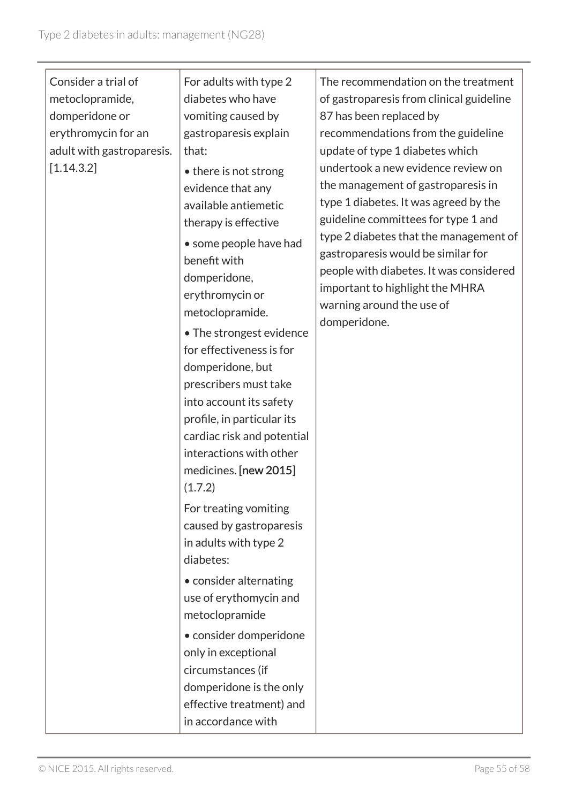| Consider a trial of<br>metoclopramide,<br>domperidone or<br>erythromycin for an<br>adult with gastroparesis.<br>[1.14.3.2] | For adults with type 2<br>diabetes who have<br>vomiting caused by<br>gastroparesis explain<br>that:<br>• there is not strong<br>evidence that any<br>available antiemetic<br>therapy is effective<br>• some people have had<br>benefit with<br>domperidone,<br>erythromycin or<br>metoclopramide.<br>• The strongest evidence<br>for effectiveness is for<br>domperidone, but<br>prescribers must take<br>into account its safety<br>profile, in particular its<br>cardiac risk and potential<br>interactions with other<br>medicines. [new 2015]<br>(1.7.2)<br>For treating vomiting<br>caused by gastroparesis<br>in adults with type 2<br>diabetes:<br>• consider alternating<br>use of erythomycin and<br>metoclopramide<br>• consider domperidone<br>only in exceptional<br>circumstances (if | The recommendation on the treatment<br>of gastroparesis from clinical guideline<br>87 has been replaced by<br>recommendations from the guideline<br>update of type 1 diabetes which<br>undertook a new evidence review on<br>the management of gastroparesis in<br>type 1 diabetes. It was agreed by the<br>guideline committees for type 1 and<br>type 2 diabetes that the management of<br>gastroparesis would be similar for<br>people with diabetes. It was considered<br>important to highlight the MHRA<br>warning around the use of<br>domperidone. |
|----------------------------------------------------------------------------------------------------------------------------|----------------------------------------------------------------------------------------------------------------------------------------------------------------------------------------------------------------------------------------------------------------------------------------------------------------------------------------------------------------------------------------------------------------------------------------------------------------------------------------------------------------------------------------------------------------------------------------------------------------------------------------------------------------------------------------------------------------------------------------------------------------------------------------------------|------------------------------------------------------------------------------------------------------------------------------------------------------------------------------------------------------------------------------------------------------------------------------------------------------------------------------------------------------------------------------------------------------------------------------------------------------------------------------------------------------------------------------------------------------------|
|                                                                                                                            | domperidone is the only<br>effective treatment) and<br>in accordance with                                                                                                                                                                                                                                                                                                                                                                                                                                                                                                                                                                                                                                                                                                                          |                                                                                                                                                                                                                                                                                                                                                                                                                                                                                                                                                            |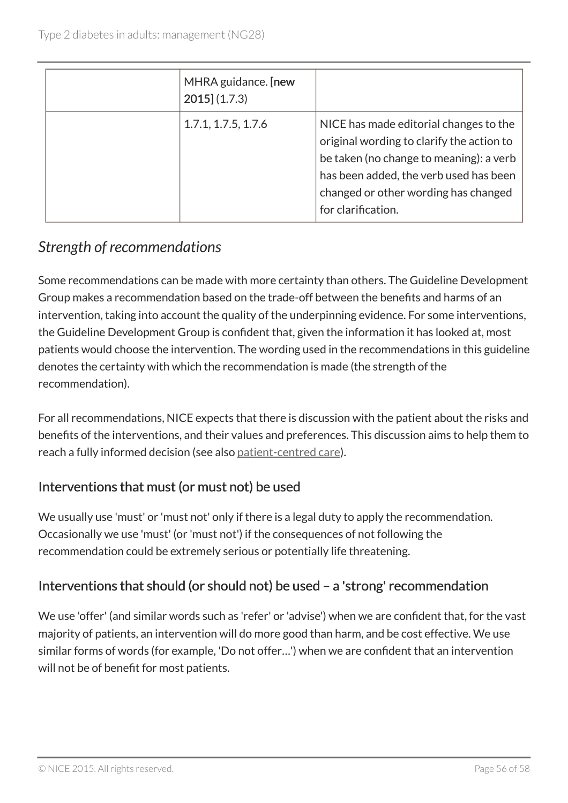| MHRA guidance. [new<br>$2015$ (1.7.3) |                                                                                                                                                                                                                                        |
|---------------------------------------|----------------------------------------------------------------------------------------------------------------------------------------------------------------------------------------------------------------------------------------|
| 1.7.1, 1.7.5, 1.7.6                   | NICE has made editorial changes to the<br>original wording to clarify the action to<br>be taken (no change to meaning): a verb<br>has been added, the verb used has been<br>changed or other wording has changed<br>for clarification. |

# *Strength of recommendations*

Some recommendations can be made with more certainty than others. The Guideline Development Group makes a recommendation based on the trade-off between the benefits and harms of an intervention, taking into account the quality of the underpinning evidence. For some interventions, the Guideline Development Group is confident that, given the information it has looked at, most patients would choose the intervention. The wording used in the recommendations in this guideline denotes the certainty with which the recommendation is made (the strength of the recommendation).

For all recommendations, NICE expects that there is discussion with the patient about the risks and benefits of the interventions, and their values and preferences. This discussion aims to help them to reach a fully informed decision (see also patient-centred care).

### Interventions that must (or must not) be used

We usually use 'must' or 'must not' only if there is a legal duty to apply the recommendation. Occasionally we use 'must' (or 'must not') if the consequences of not following the recommendation could be extremely serious or potentially life threatening.

### Interventions that should (or should not) be used – a 'strong' recommendation

We use 'offer' (and similar words such as 'refer' or 'advise') when we are confident that, for the vast majority of patients, an intervention will do more good than harm, and be cost effective. We use similar forms of words (for example, 'Do not offer…') when we are confident that an intervention will not be of benefit for most patients.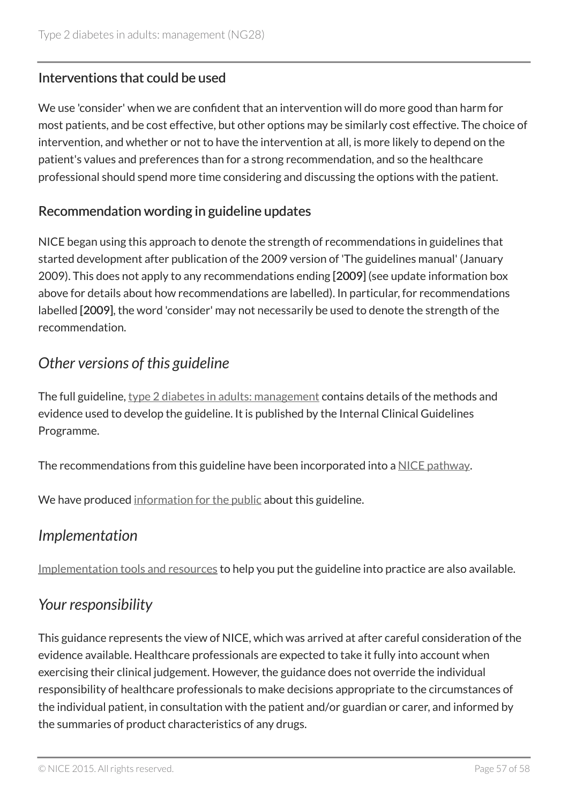### Interventions that could be used

We use 'consider' when we are confident that an intervention will do more good than harm for most patients, and be cost effective, but other options may be similarly cost effective. The choice of intervention, and whether or not to have the intervention at all, is more likely to depend on the patient's values and preferences than for a strong recommendation, and so the healthcare professional should spend more time considering and discussing the options with the patient.

### Recommendation wording in guideline updates

NICE began using this approach to denote the strength of recommendations in guidelines that started development after publication of the 2009 version of 'The guidelines manual' (January 2009). This does not apply to any recommendations ending [2009] (see update information box above for details about how recommendations are labelled). In particular, for recommendations labelled [2009], the word 'consider' may not necessarily be used to denote the strength of the recommendation.

### *Other versions of this guideline*

The full guideline, type 2 diabetes in adults: management contains details of the methods and evidence used to develop the guideline. It is published by the Internal Clinical Guidelines Programme.

The recommendations from this guideline have been incorporated into a NICE pathway.

We have produced information for the public about this guideline.

### *Implementation*

Implementation tools and resources to help you put the guideline into practice are also available.

### *Your responsibility*

This guidance represents the view of NICE, which was arrived at after careful consideration of the evidence available. Healthcare professionals are expected to take it fully into account when exercising their clinical judgement. However, the guidance does not override the individual responsibility of healthcare professionals to make decisions appropriate to the circumstances of the individual patient, in consultation with the patient and/or guardian or carer, and informed by the summaries of product characteristics of any drugs.